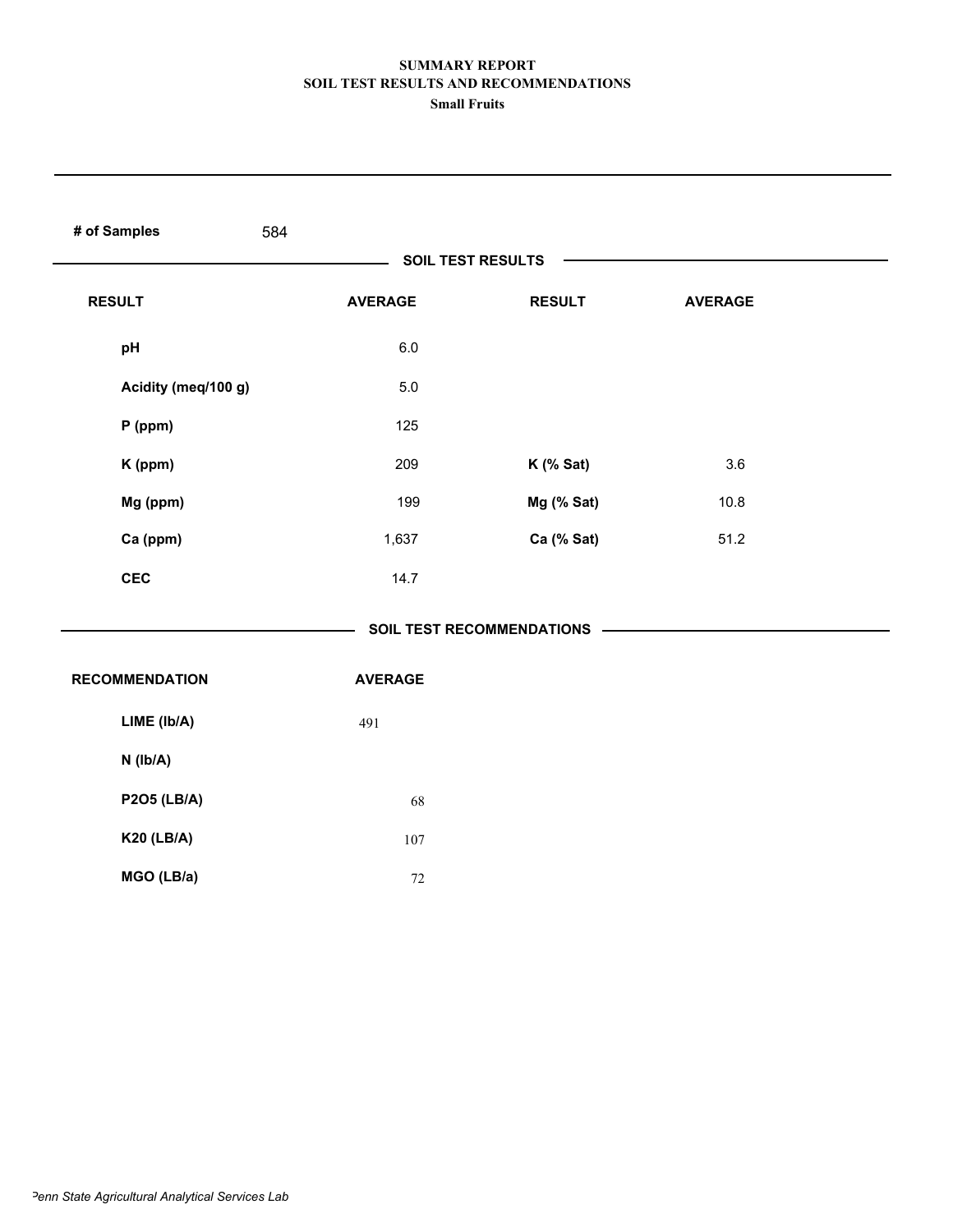| # of Samples          | 584            |                          |                |  |
|-----------------------|----------------|--------------------------|----------------|--|
|                       |                | <b>SOIL TEST RESULTS</b> |                |  |
| <b>RESULT</b>         | <b>AVERAGE</b> | <b>RESULT</b>            | <b>AVERAGE</b> |  |
| pH                    | $6.0\,$        |                          |                |  |
| Acidity (meq/100 g)   | $5.0\,$        |                          |                |  |
| $P$ (ppm)             | 125            |                          |                |  |
| K (ppm)               | 209            | K (% Sat)                | 3.6            |  |
| Mg (ppm)              | 199            | Mg (% Sat)               | 10.8           |  |
| Ca (ppm)              | 1,637          | Ca (% Sat)               | 51.2           |  |
| <b>CEC</b>            | 14.7           |                          |                |  |
|                       |                |                          |                |  |
| <b>RECOMMENDATION</b> | <b>AVERAGE</b> |                          |                |  |
| LIME (Ib/A)           | 491            |                          |                |  |
| $N$ (lb/A)            |                |                          |                |  |
| <b>P2O5 (LB/A)</b>    | 68             |                          |                |  |
| <b>K20 (LB/A)</b>     | 107            |                          |                |  |
| MGO (LB/a)            | $72\,$         |                          |                |  |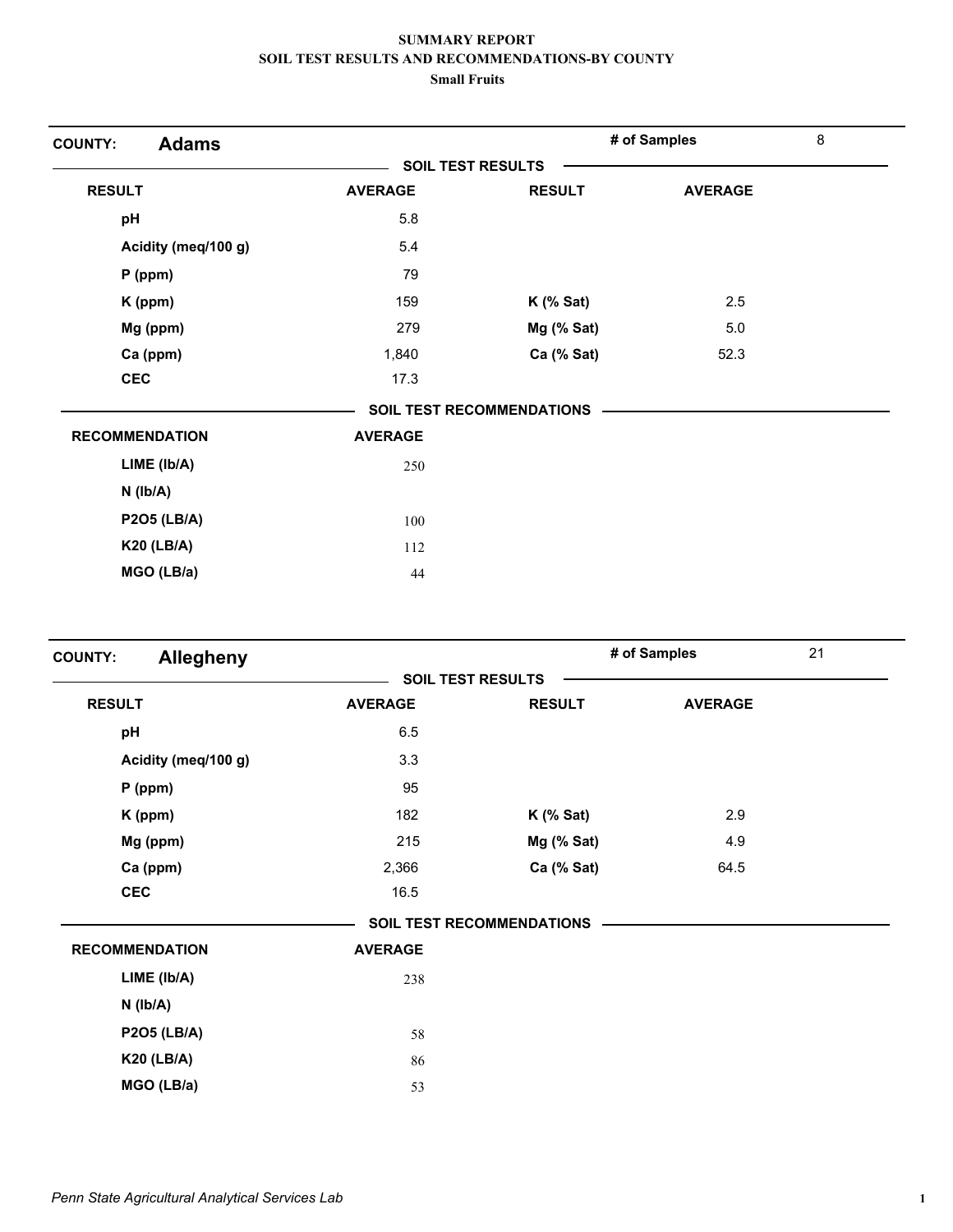| <b>Adams</b><br><b>COUNTY:</b> |                          |                                  | # of Samples   | 8 |
|--------------------------------|--------------------------|----------------------------------|----------------|---|
|                                | <b>SOIL TEST RESULTS</b> |                                  |                |   |
| <b>RESULT</b>                  | <b>AVERAGE</b>           | <b>RESULT</b>                    | <b>AVERAGE</b> |   |
| pH                             | 5.8                      |                                  |                |   |
| Acidity (meq/100 g)            | 5.4                      |                                  |                |   |
| $P$ (ppm)                      | 79                       |                                  |                |   |
| K (ppm)                        | 159                      | $K$ (% Sat)                      | 2.5            |   |
| Mg (ppm)                       | 279                      | Mg (% Sat)                       | $5.0\,$        |   |
| Ca (ppm)                       | 1,840                    | Ca (% Sat)                       | 52.3           |   |
| <b>CEC</b>                     | 17.3                     |                                  |                |   |
|                                |                          | <b>SOIL TEST RECOMMENDATIONS</b> |                |   |
| <b>RECOMMENDATION</b>          | <b>AVERAGE</b>           |                                  |                |   |
| LIME (Ib/A)                    | 250                      |                                  |                |   |
| $N$ ( $Ib/A$ )                 |                          |                                  |                |   |
| <b>P2O5 (LB/A)</b>             | 100                      |                                  |                |   |
| <b>K20 (LB/A)</b>              | 112                      |                                  |                |   |
| MGO (LB/a)                     | 44                       |                                  |                |   |

| <b>Allegheny</b><br><b>COUNTY:</b> |                          |                                  | # of Samples   | 21 |
|------------------------------------|--------------------------|----------------------------------|----------------|----|
|                                    | <b>SOIL TEST RESULTS</b> |                                  |                |    |
| <b>RESULT</b>                      | <b>AVERAGE</b>           | <b>RESULT</b>                    | <b>AVERAGE</b> |    |
| pH                                 | 6.5                      |                                  |                |    |
| Acidity (meq/100 g)                | 3.3                      |                                  |                |    |
| $P$ (ppm)                          | 95                       |                                  |                |    |
| K (ppm)                            | 182                      | $K$ (% Sat)                      | 2.9            |    |
| Mg (ppm)                           | 215                      | Mg (% Sat)                       | 4.9            |    |
| Ca (ppm)                           | 2,366                    | Ca (% Sat)                       | 64.5           |    |
| <b>CEC</b>                         | 16.5                     |                                  |                |    |
|                                    |                          | <b>SOIL TEST RECOMMENDATIONS</b> |                |    |
| <b>RECOMMENDATION</b>              | <b>AVERAGE</b>           |                                  |                |    |
| LIME (Ib/A)                        | 238                      |                                  |                |    |
| $N$ ( $lb/A$ )                     |                          |                                  |                |    |
| <b>P2O5 (LB/A)</b>                 | 58                       |                                  |                |    |
| <b>K20 (LB/A)</b>                  | 86                       |                                  |                |    |
| MGO (LB/a)                         | 53                       |                                  |                |    |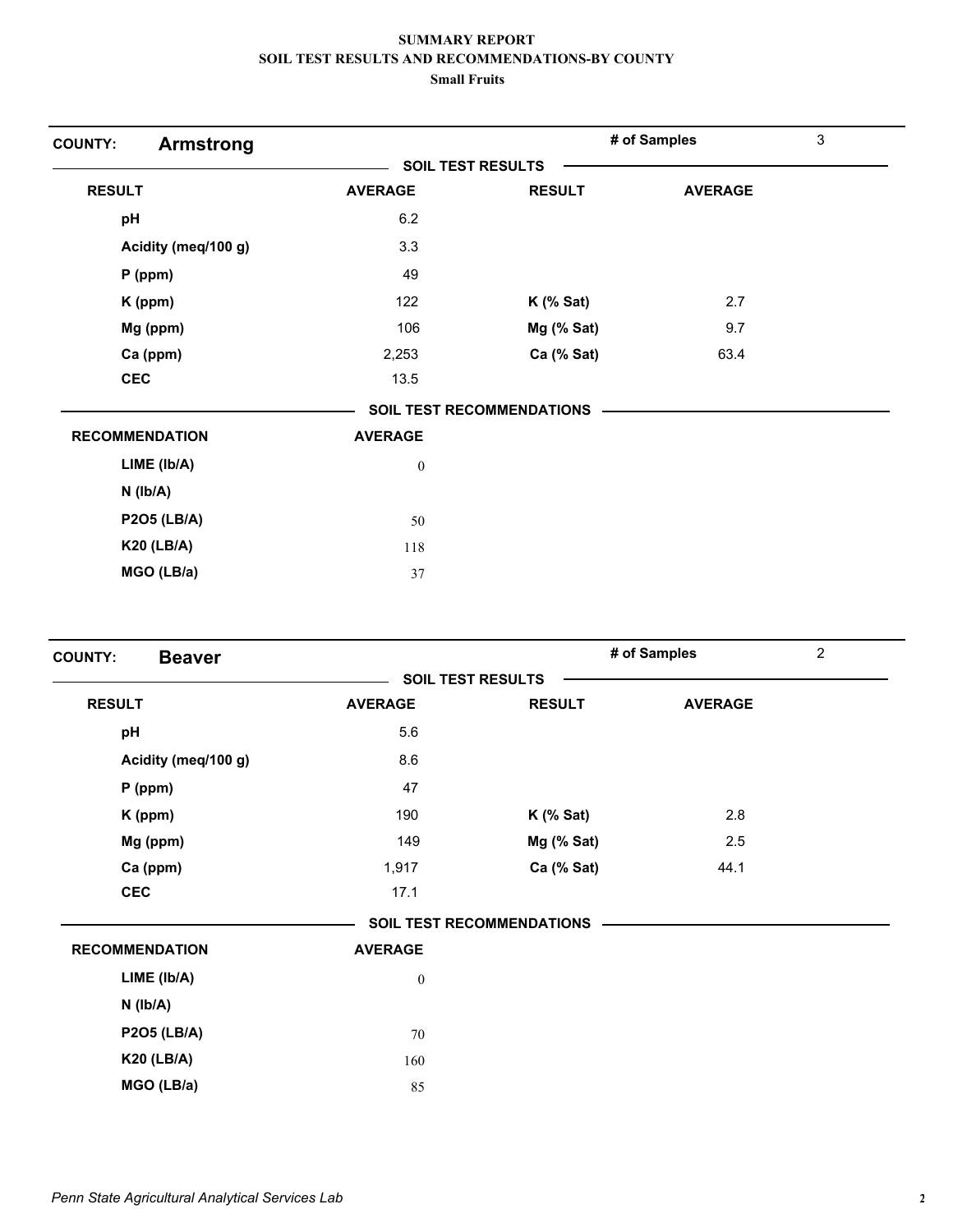| <b>Armstrong</b><br><b>COUNTY:</b> |                          |                                  | # of Samples   | 3 |
|------------------------------------|--------------------------|----------------------------------|----------------|---|
|                                    | <b>SOIL TEST RESULTS</b> |                                  |                |   |
| <b>RESULT</b>                      | <b>AVERAGE</b>           | <b>RESULT</b>                    | <b>AVERAGE</b> |   |
| pH                                 | 6.2                      |                                  |                |   |
| Acidity (meq/100 g)                | 3.3                      |                                  |                |   |
| $P$ (ppm)                          | 49                       |                                  |                |   |
| K (ppm)                            | 122                      | $K$ (% Sat)                      | 2.7            |   |
| Mg (ppm)                           | 106                      | Mg (% Sat)                       | 9.7            |   |
| Ca (ppm)                           | 2,253                    | Ca (% Sat)                       | 63.4           |   |
| <b>CEC</b>                         | 13.5                     |                                  |                |   |
|                                    |                          | <b>SOIL TEST RECOMMENDATIONS</b> |                |   |
| <b>RECOMMENDATION</b>              | <b>AVERAGE</b>           |                                  |                |   |
| LIME (Ib/A)                        | $\boldsymbol{0}$         |                                  |                |   |
| $N$ ( $lb/A$ )                     |                          |                                  |                |   |
| <b>P2O5 (LB/A)</b>                 | 50                       |                                  |                |   |
| <b>K20 (LB/A)</b>                  | 118                      |                                  |                |   |
| MGO (LB/a)                         | 37                       |                                  |                |   |

| $\overline{2}$ |
|----------------|
|                |
| <b>AVERAGE</b> |
|                |
|                |
|                |
| 2.8            |
| 2.5            |
| 44.1           |
|                |
|                |
|                |
|                |
|                |
|                |
|                |
|                |
|                |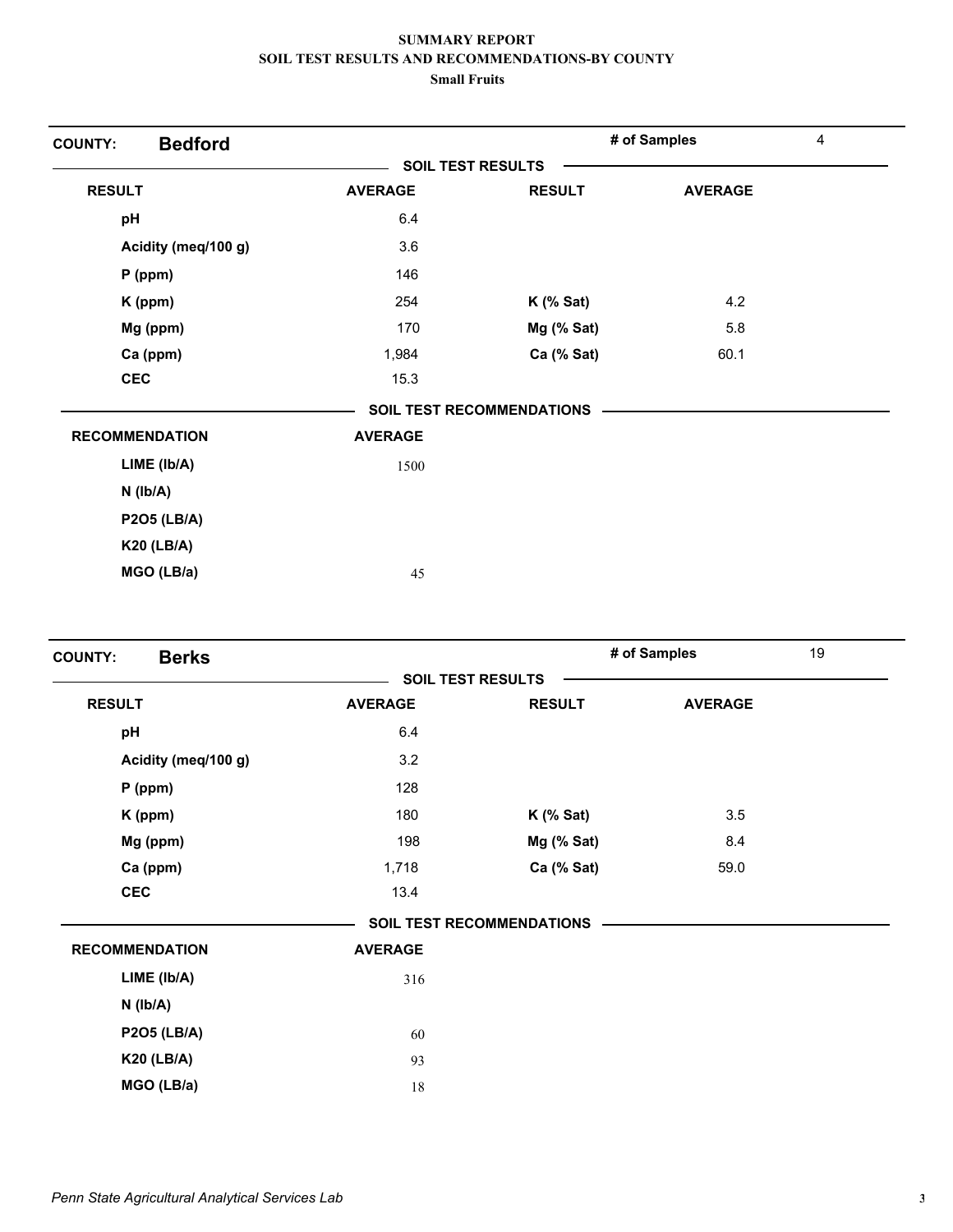| <b>Bedford</b><br><b>COUNTY:</b> |                          |                                  | # of Samples   | 4 |
|----------------------------------|--------------------------|----------------------------------|----------------|---|
|                                  | <b>SOIL TEST RESULTS</b> |                                  |                |   |
| <b>RESULT</b>                    | <b>AVERAGE</b>           | <b>RESULT</b>                    | <b>AVERAGE</b> |   |
| pH                               | 6.4                      |                                  |                |   |
| Acidity (meq/100 g)              | 3.6                      |                                  |                |   |
| P (ppm)                          | 146                      |                                  |                |   |
| K (ppm)                          | 254                      | $K$ (% Sat)                      | 4.2            |   |
| Mg (ppm)                         | 170                      | Mg (% Sat)                       | 5.8            |   |
| Ca (ppm)                         | 1,984                    | Ca (% Sat)                       | 60.1           |   |
| <b>CEC</b>                       | 15.3                     |                                  |                |   |
|                                  |                          | <b>SOIL TEST RECOMMENDATIONS</b> |                |   |
| <b>RECOMMENDATION</b>            | <b>AVERAGE</b>           |                                  |                |   |
| LIME (Ib/A)                      | 1500                     |                                  |                |   |
| N (lb/A)                         |                          |                                  |                |   |
| <b>P2O5 (LB/A)</b>               |                          |                                  |                |   |
| <b>K20 (LB/A)</b>                |                          |                                  |                |   |
| MGO (LB/a)                       | 45                       |                                  |                |   |

| <b>Berks</b><br><b>COUNTY:</b> |                          |                                  | # of Samples   | 19 |
|--------------------------------|--------------------------|----------------------------------|----------------|----|
|                                | <b>SOIL TEST RESULTS</b> |                                  |                |    |
| <b>RESULT</b>                  | <b>AVERAGE</b>           | <b>RESULT</b>                    | <b>AVERAGE</b> |    |
| pH                             | 6.4                      |                                  |                |    |
| Acidity (meq/100 g)            | 3.2                      |                                  |                |    |
| $P$ (ppm)                      | 128                      |                                  |                |    |
| K (ppm)                        | 180                      | $K$ (% Sat)                      | 3.5            |    |
| Mg (ppm)                       | 198                      | Mg (% Sat)                       | 8.4            |    |
| Ca (ppm)                       | 1,718                    | Ca (% Sat)                       | 59.0           |    |
| <b>CEC</b>                     | 13.4                     |                                  |                |    |
|                                |                          | <b>SOIL TEST RECOMMENDATIONS</b> |                |    |
| <b>RECOMMENDATION</b>          | <b>AVERAGE</b>           |                                  |                |    |
| LIME (Ib/A)                    | 316                      |                                  |                |    |
| $N$ ( $lb/A$ )                 |                          |                                  |                |    |
| <b>P2O5 (LB/A)</b>             | 60                       |                                  |                |    |
| <b>K20 (LB/A)</b>              | 93                       |                                  |                |    |
| MGO (LB/a)                     | 18                       |                                  |                |    |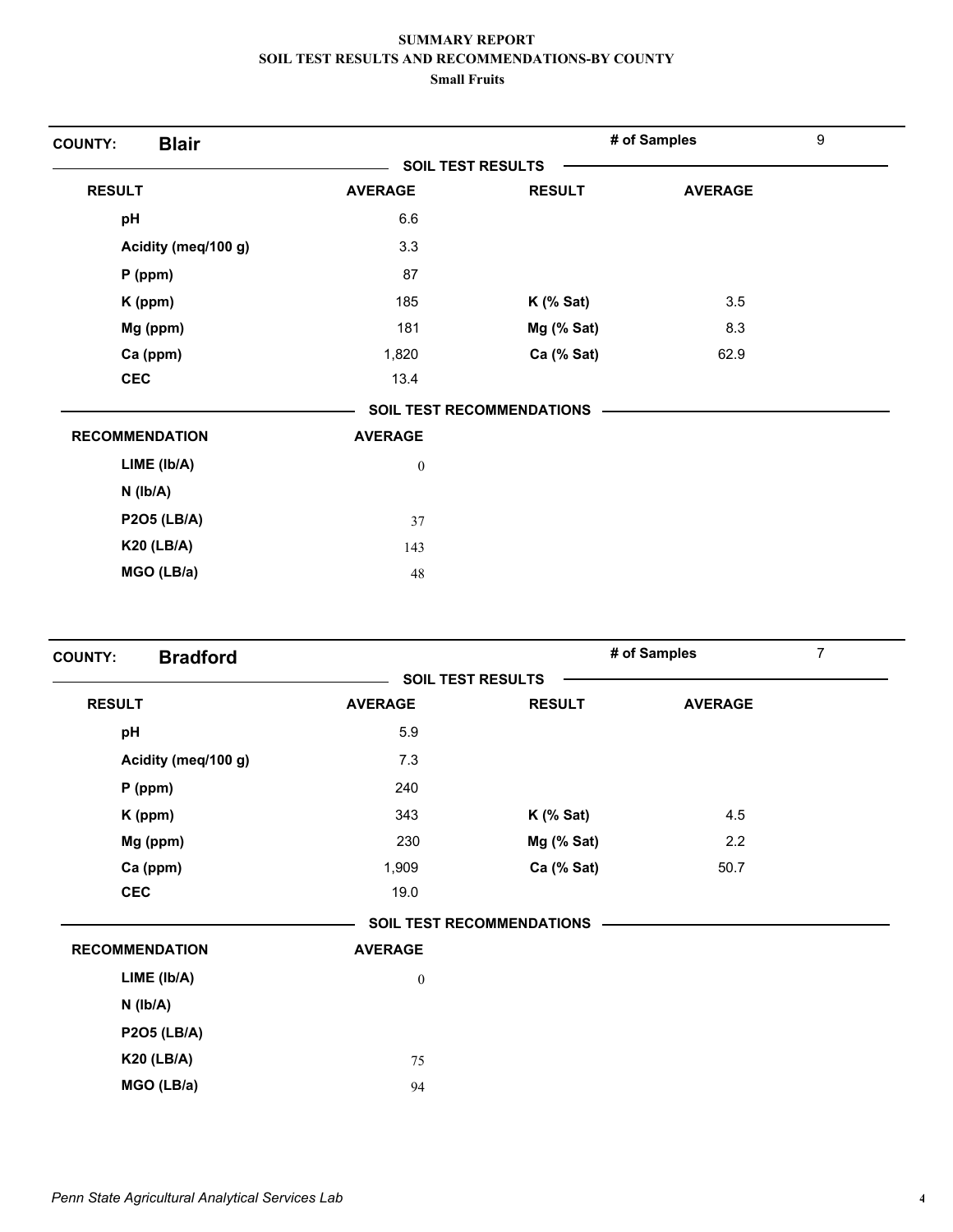| <b>Blair</b><br><b>COUNTY:</b> |                          |                                  | # of Samples   | 9 |
|--------------------------------|--------------------------|----------------------------------|----------------|---|
|                                | <b>SOIL TEST RESULTS</b> |                                  |                |   |
| <b>RESULT</b>                  | <b>AVERAGE</b>           | <b>RESULT</b>                    | <b>AVERAGE</b> |   |
| pH                             | 6.6                      |                                  |                |   |
| Acidity (meq/100 g)            | 3.3                      |                                  |                |   |
| $P$ (ppm)                      | 87                       |                                  |                |   |
| K (ppm)                        | 185                      | $K$ (% Sat)                      | 3.5            |   |
| Mg (ppm)                       | 181                      | Mg (% Sat)                       | 8.3            |   |
| Ca (ppm)                       | 1,820                    | Ca (% Sat)                       | 62.9           |   |
| <b>CEC</b>                     | 13.4                     |                                  |                |   |
|                                |                          | <b>SOIL TEST RECOMMENDATIONS</b> |                |   |
| <b>RECOMMENDATION</b>          | <b>AVERAGE</b>           |                                  |                |   |
| LIME (Ib/A)                    | $\boldsymbol{0}$         |                                  |                |   |
| $N$ ( $lb/A$ )                 |                          |                                  |                |   |
| <b>P2O5 (LB/A)</b>             | 37                       |                                  |                |   |
| <b>K20 (LB/A)</b>              | 143                      |                                  |                |   |
| MGO (LB/a)                     | 48                       |                                  |                |   |

| <b>Bradford</b><br><b>COUNTY:</b> |                          |                                  | # of Samples   | 7 |
|-----------------------------------|--------------------------|----------------------------------|----------------|---|
|                                   | <b>SOIL TEST RESULTS</b> |                                  |                |   |
| <b>RESULT</b>                     | <b>AVERAGE</b>           | <b>RESULT</b>                    | <b>AVERAGE</b> |   |
| pH                                | 5.9                      |                                  |                |   |
| Acidity (meq/100 g)               | 7.3                      |                                  |                |   |
| $P$ (ppm)                         | 240                      |                                  |                |   |
| K (ppm)                           | 343                      | $K$ (% Sat)                      | 4.5            |   |
| Mg (ppm)                          | 230                      | Mg (% Sat)                       | 2.2            |   |
| Ca (ppm)                          | 1,909                    | Ca (% Sat)                       | 50.7           |   |
| <b>CEC</b>                        | 19.0                     |                                  |                |   |
|                                   |                          | <b>SOIL TEST RECOMMENDATIONS</b> |                |   |
| <b>RECOMMENDATION</b>             | <b>AVERAGE</b>           |                                  |                |   |
| LIME (lb/A)                       | $\boldsymbol{0}$         |                                  |                |   |
| $N$ ( $Ib/A$ )                    |                          |                                  |                |   |
| <b>P2O5 (LB/A)</b>                |                          |                                  |                |   |
| <b>K20 (LB/A)</b>                 | 75                       |                                  |                |   |
| MGO (LB/a)                        | 94                       |                                  |                |   |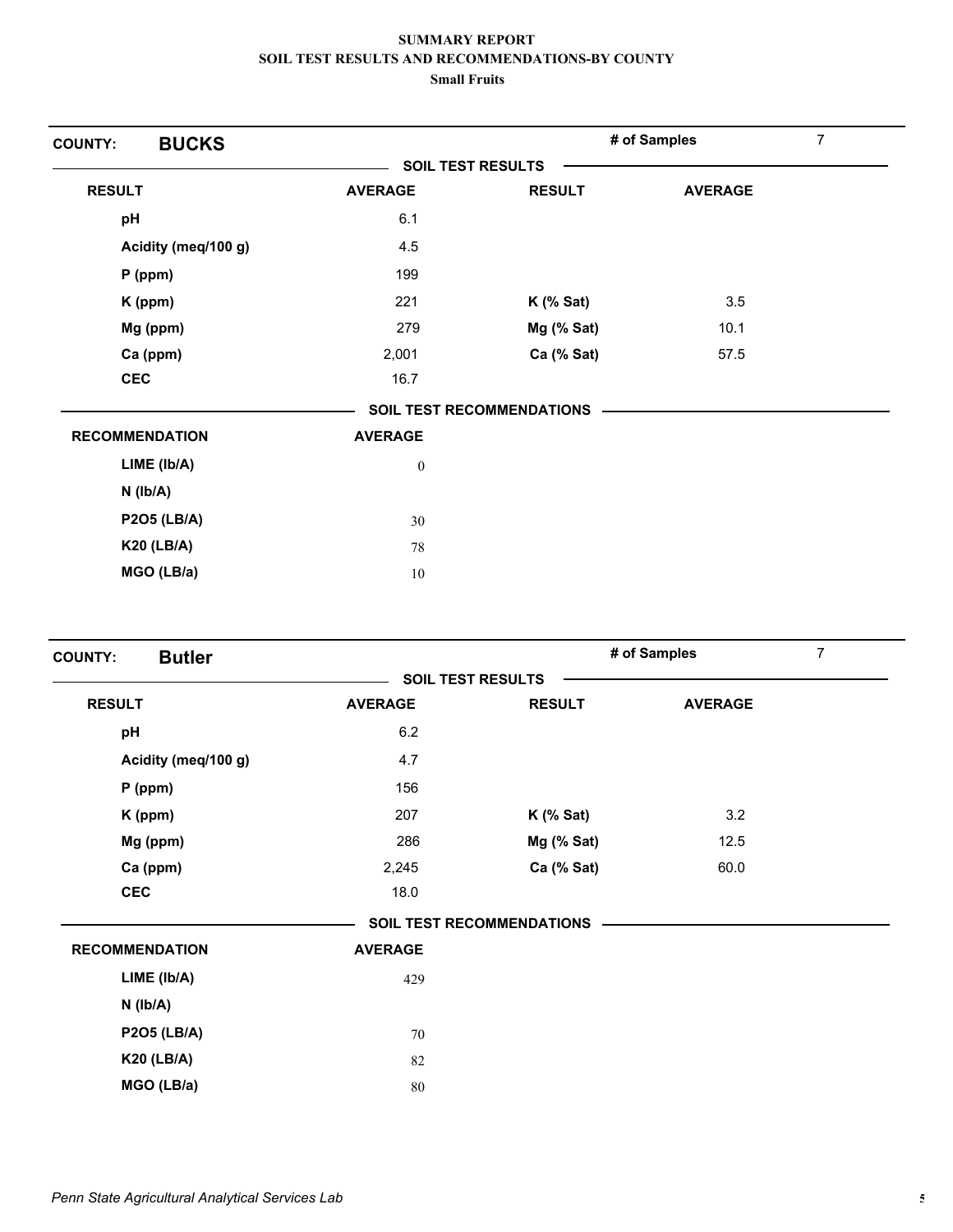| <b>BUCKS</b><br><b>COUNTY:</b> |                          |                                  | # of Samples   | 7 |
|--------------------------------|--------------------------|----------------------------------|----------------|---|
|                                | <b>SOIL TEST RESULTS</b> |                                  |                |   |
| <b>RESULT</b>                  | <b>AVERAGE</b>           | <b>RESULT</b>                    | <b>AVERAGE</b> |   |
| pH                             | 6.1                      |                                  |                |   |
| Acidity (meq/100 g)            | 4.5                      |                                  |                |   |
| $P$ (ppm)                      | 199                      |                                  |                |   |
| K (ppm)                        | 221                      | $K$ (% Sat)                      | 3.5            |   |
| Mg (ppm)                       | 279                      | Mg (% Sat)                       | 10.1           |   |
| Ca (ppm)                       | 2,001                    | Ca (% Sat)                       | 57.5           |   |
| <b>CEC</b>                     | 16.7                     |                                  |                |   |
|                                |                          | <b>SOIL TEST RECOMMENDATIONS</b> |                |   |
| <b>RECOMMENDATION</b>          | <b>AVERAGE</b>           |                                  |                |   |
| LIME (Ib/A)                    | $\boldsymbol{0}$         |                                  |                |   |
| $N$ ( $Ib/A$ )                 |                          |                                  |                |   |
| <b>P2O5 (LB/A)</b>             | 30                       |                                  |                |   |
| <b>K20 (LB/A)</b>              | 78                       |                                  |                |   |
| MGO (LB/a)                     | 10                       |                                  |                |   |

| <b>Butler</b>         |                          |                                  | # of Samples   | 7 |
|-----------------------|--------------------------|----------------------------------|----------------|---|
|                       | <b>SOIL TEST RESULTS</b> |                                  |                |   |
| <b>RESULT</b>         | <b>AVERAGE</b>           | <b>RESULT</b>                    | <b>AVERAGE</b> |   |
| pH                    | 6.2                      |                                  |                |   |
| Acidity (meq/100 g)   | 4.7                      |                                  |                |   |
| $P$ (ppm)             | 156                      |                                  |                |   |
| K (ppm)               | 207                      | $K$ (% Sat)                      | 3.2            |   |
| Mg (ppm)              | 286                      | $Mg$ (% Sat)                     | 12.5           |   |
| Ca (ppm)              | 2,245                    | Ca (% Sat)                       | 60.0           |   |
| <b>CEC</b>            | 18.0                     |                                  |                |   |
|                       |                          | <b>SOIL TEST RECOMMENDATIONS</b> |                |   |
| <b>RECOMMENDATION</b> | <b>AVERAGE</b>           |                                  |                |   |
| $LIME$ ( $lb/A$ )     | 429                      |                                  |                |   |
| $N$ ( $lb/A$ )        |                          |                                  |                |   |
| <b>P2O5 (LB/A)</b>    | 70                       |                                  |                |   |
| <b>K20 (LB/A)</b>     | 82                       |                                  |                |   |
| MGO (LB/a)            | 80                       |                                  |                |   |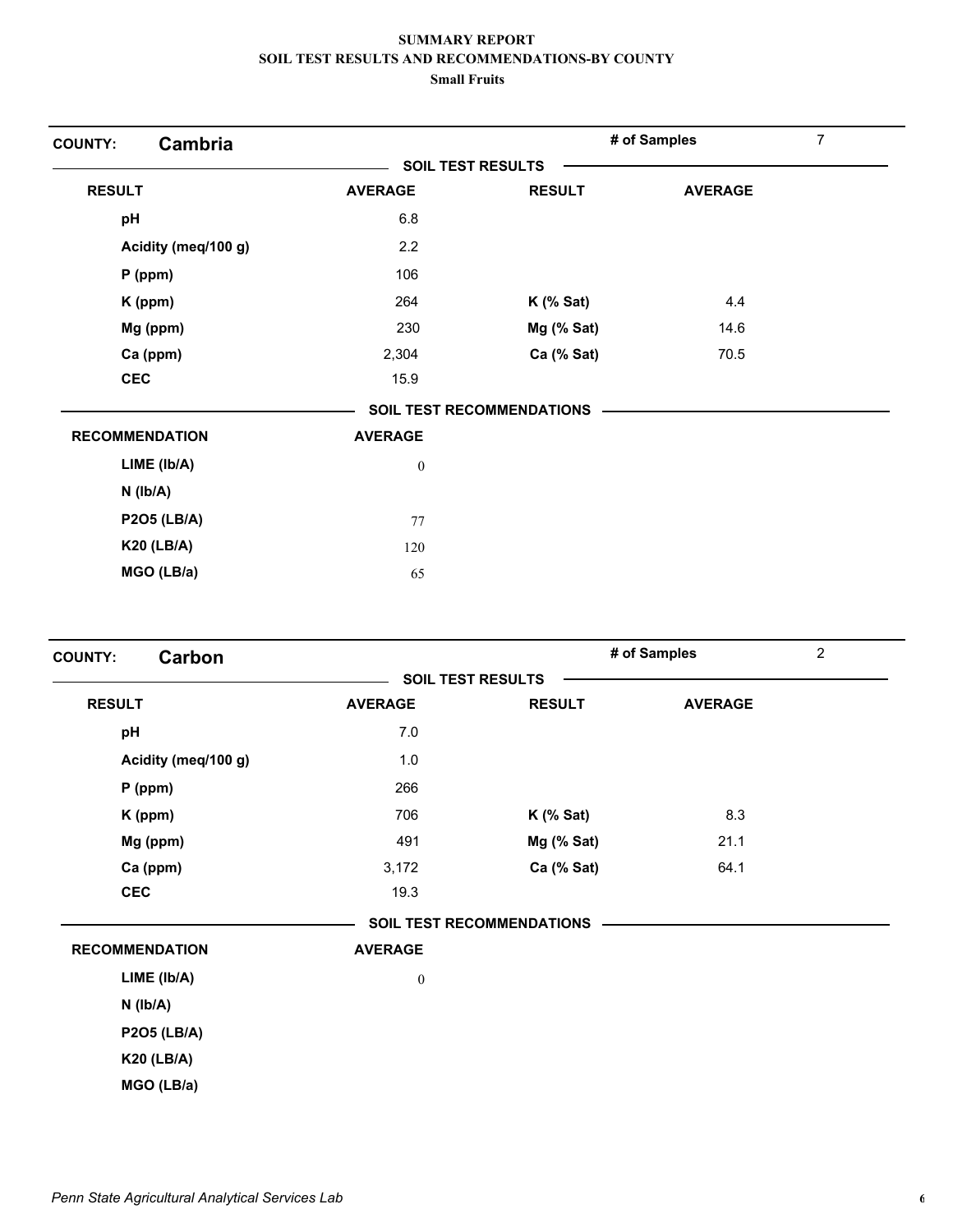| Cambria<br><b>COUNTY:</b> |                          |                                  | # of Samples   | $\overline{7}$ |
|---------------------------|--------------------------|----------------------------------|----------------|----------------|
|                           | <b>SOIL TEST RESULTS</b> |                                  |                |                |
| <b>RESULT</b>             | <b>AVERAGE</b>           | <b>RESULT</b>                    | <b>AVERAGE</b> |                |
| pH                        | 6.8                      |                                  |                |                |
| Acidity (meq/100 g)       | 2.2                      |                                  |                |                |
| $P$ (ppm)                 | 106                      |                                  |                |                |
| K (ppm)                   | 264                      | $K$ (% Sat)                      | 4.4            |                |
| Mg (ppm)                  | 230                      | Mg (% Sat)                       | 14.6           |                |
| Ca (ppm)                  | 2,304                    | Ca (% Sat)                       | 70.5           |                |
| <b>CEC</b>                | 15.9                     |                                  |                |                |
|                           |                          | <b>SOIL TEST RECOMMENDATIONS</b> |                |                |
| <b>RECOMMENDATION</b>     | <b>AVERAGE</b>           |                                  |                |                |
| $LIME$ ( $lb/A$ )         | $\mathbf{0}$             |                                  |                |                |
| $N$ ( $lb/A$ )            |                          |                                  |                |                |
| <b>P2O5 (LB/A)</b>        | 77                       |                                  |                |                |
| <b>K20 (LB/A)</b>         | 120                      |                                  |                |                |
| MGO (LB/a)                | 65                       |                                  |                |                |

| Carbon<br><b>COUNTY:</b> |                          |                                  | # of Samples   | $\overline{2}$ |
|--------------------------|--------------------------|----------------------------------|----------------|----------------|
|                          | <b>SOIL TEST RESULTS</b> |                                  |                |                |
| <b>RESULT</b>            | <b>AVERAGE</b>           | <b>RESULT</b>                    | <b>AVERAGE</b> |                |
| pH                       | 7.0                      |                                  |                |                |
| Acidity (meq/100 g)      | 1.0                      |                                  |                |                |
| $P$ (ppm)                | 266                      |                                  |                |                |
| K (ppm)                  | 706                      | $K$ (% Sat)                      | 8.3            |                |
| Mg (ppm)                 | 491                      | Mg (% Sat)                       | 21.1           |                |
| Ca (ppm)                 | 3,172                    | Ca (% Sat)                       | 64.1           |                |
| <b>CEC</b>               | 19.3                     |                                  |                |                |
|                          |                          | <b>SOIL TEST RECOMMENDATIONS</b> |                |                |
| <b>RECOMMENDATION</b>    | <b>AVERAGE</b>           |                                  |                |                |
| LIME (Ib/A)              | $\boldsymbol{0}$         |                                  |                |                |
| $N$ ( $Ib/A$ )           |                          |                                  |                |                |
| <b>P2O5 (LB/A)</b>       |                          |                                  |                |                |
| <b>K20 (LB/A)</b>        |                          |                                  |                |                |
| MGO (LB/a)               |                          |                                  |                |                |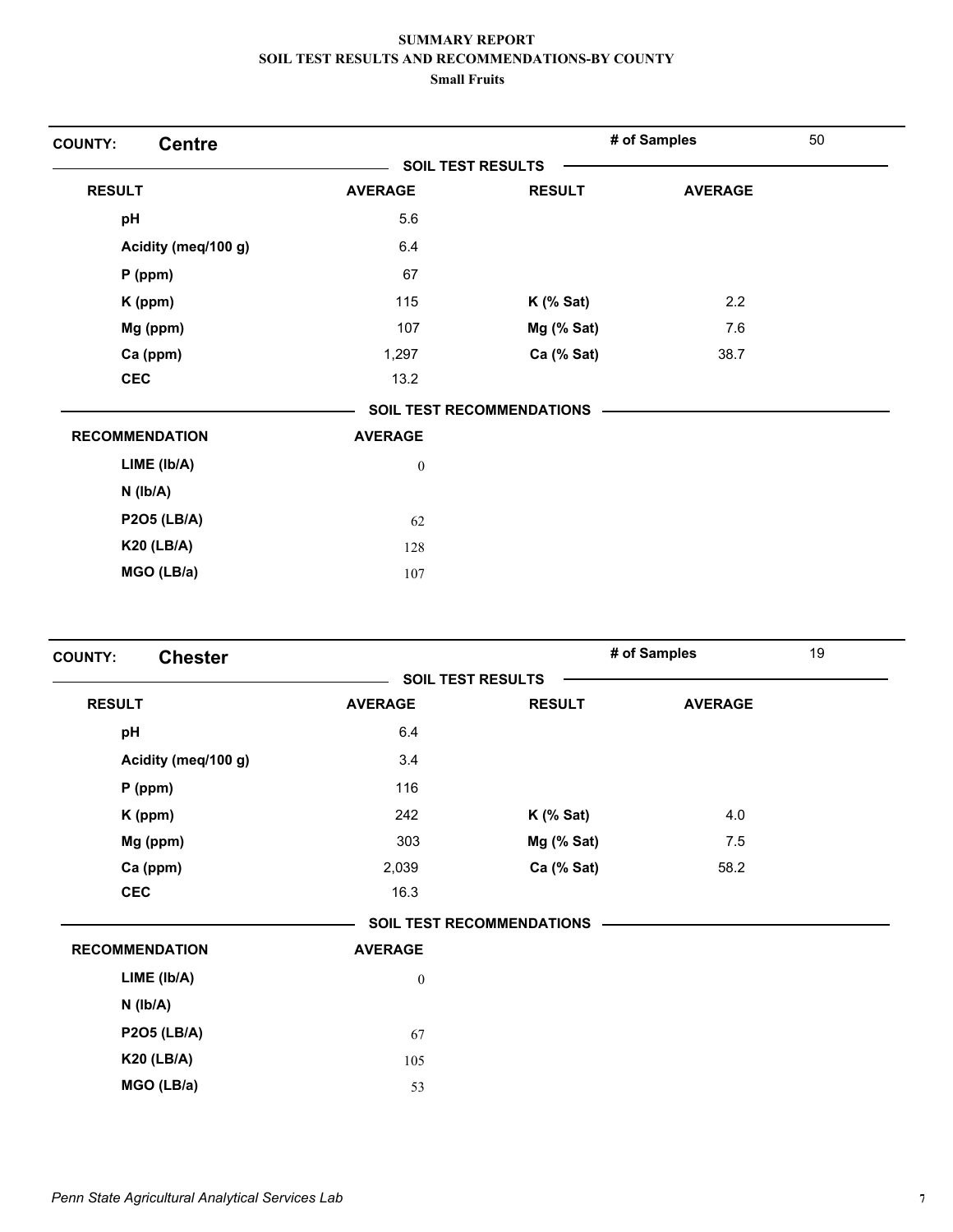| <b>Centre</b><br><b>COUNTY:</b> |                  |                                  | # of Samples   | 50 |
|---------------------------------|------------------|----------------------------------|----------------|----|
|                                 |                  | <b>SOIL TEST RESULTS</b>         |                |    |
| <b>RESULT</b>                   | <b>AVERAGE</b>   | <b>RESULT</b>                    | <b>AVERAGE</b> |    |
| pH                              | 5.6              |                                  |                |    |
| Acidity (meq/100 g)             | 6.4              |                                  |                |    |
| $P$ (ppm)                       | 67               |                                  |                |    |
| K (ppm)                         | 115              | $K$ (% Sat)                      | 2.2            |    |
| Mg (ppm)                        | 107              | Mg (% Sat)                       | 7.6            |    |
| Ca (ppm)                        | 1,297            | Ca (% Sat)                       | 38.7           |    |
| <b>CEC</b>                      | 13.2             |                                  |                |    |
|                                 |                  | <b>SOIL TEST RECOMMENDATIONS</b> |                |    |
| <b>RECOMMENDATION</b>           | <b>AVERAGE</b>   |                                  |                |    |
| $LIME$ ( $lb/A$ )               | $\boldsymbol{0}$ |                                  |                |    |
| $N$ ( $lb/A$ )                  |                  |                                  |                |    |
| <b>P2O5 (LB/A)</b>              | 62               |                                  |                |    |
| <b>K20 (LB/A)</b>               | 128              |                                  |                |    |
| MGO (LB/a)                      | 107              |                                  |                |    |

| <b>Chester</b><br><b>COUNTY:</b> |                          |                                  | # of Samples   | 19 |
|----------------------------------|--------------------------|----------------------------------|----------------|----|
|                                  | <b>SOIL TEST RESULTS</b> |                                  |                |    |
| <b>RESULT</b>                    | <b>AVERAGE</b>           | <b>RESULT</b>                    | <b>AVERAGE</b> |    |
| pH                               | 6.4                      |                                  |                |    |
| Acidity (meq/100 g)              | 3.4                      |                                  |                |    |
| $P$ (ppm)                        | 116                      |                                  |                |    |
| K (ppm)                          | 242                      | $K$ (% Sat)                      | 4.0            |    |
| Mg (ppm)                         | 303                      | $Mg$ (% Sat)                     | 7.5            |    |
| Ca (ppm)                         | 2,039                    | Ca (% Sat)                       | 58.2           |    |
| <b>CEC</b>                       | 16.3                     |                                  |                |    |
|                                  |                          | <b>SOIL TEST RECOMMENDATIONS</b> |                |    |
| <b>RECOMMENDATION</b>            | <b>AVERAGE</b>           |                                  |                |    |
| LIME (lb/A)                      | $\boldsymbol{0}$         |                                  |                |    |
| $N$ ( $Ib/A$ )                   |                          |                                  |                |    |
| <b>P2O5 (LB/A)</b>               | 67                       |                                  |                |    |
| <b>K20 (LB/A)</b>                | 105                      |                                  |                |    |
| MGO (LB/a)                       | 53                       |                                  |                |    |
|                                  |                          |                                  |                |    |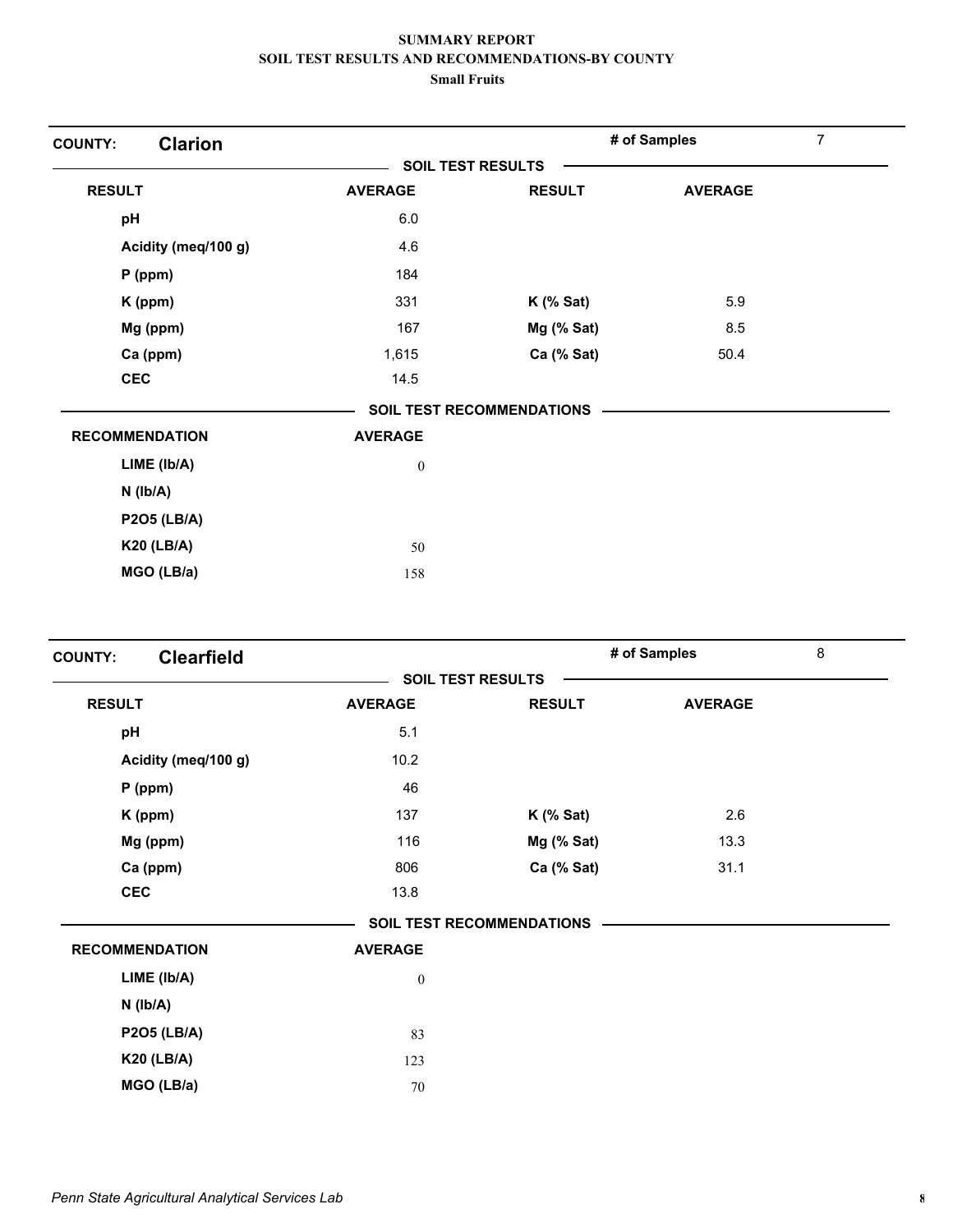| <b>Clarion</b><br><b>COUNTY:</b> |                  |                                  | # of Samples   | $\overline{7}$ |
|----------------------------------|------------------|----------------------------------|----------------|----------------|
|                                  |                  | <b>SOIL TEST RESULTS</b>         |                |                |
| <b>RESULT</b>                    | <b>AVERAGE</b>   | <b>RESULT</b>                    | <b>AVERAGE</b> |                |
| pH                               | 6.0              |                                  |                |                |
| Acidity (meq/100 g)              | 4.6              |                                  |                |                |
| $P$ (ppm)                        | 184              |                                  |                |                |
| K (ppm)                          | 331              | $K$ (% Sat)                      | 5.9            |                |
| Mg (ppm)                         | 167              | Mg (% Sat)                       | 8.5            |                |
| Ca (ppm)                         | 1,615            | Ca (% Sat)                       | 50.4           |                |
| <b>CEC</b>                       | 14.5             |                                  |                |                |
|                                  |                  | <b>SOIL TEST RECOMMENDATIONS</b> |                |                |
| <b>RECOMMENDATION</b>            | <b>AVERAGE</b>   |                                  |                |                |
| $LIME$ ( $lb/A$ )                | $\boldsymbol{0}$ |                                  |                |                |
| $N$ ( $Ib/A$ )                   |                  |                                  |                |                |
| <b>P2O5 (LB/A)</b>               |                  |                                  |                |                |
| <b>K20 (LB/A)</b>                | 50               |                                  |                |                |
| MGO (LB/a)                       | 158              |                                  |                |                |

| <b>COUNTY:</b> | <b>Clearfield</b>     |                          |                                  | # of Samples   | 8 |
|----------------|-----------------------|--------------------------|----------------------------------|----------------|---|
|                |                       | <b>SOIL TEST RESULTS</b> |                                  |                |   |
| <b>RESULT</b>  |                       | <b>AVERAGE</b>           | <b>RESULT</b>                    | <b>AVERAGE</b> |   |
| pH             |                       | 5.1                      |                                  |                |   |
|                | Acidity (meq/100 g)   | 10.2                     |                                  |                |   |
|                | $P$ (ppm)             | 46                       |                                  |                |   |
|                | K (ppm)               | 137                      | $K$ (% Sat)                      | 2.6            |   |
|                | Mg (ppm)              | 116                      | Mg (% Sat)                       | 13.3           |   |
|                | Ca (ppm)              | 806                      | Ca (% Sat)                       | 31.1           |   |
|                | <b>CEC</b>            | 13.8                     |                                  |                |   |
|                |                       |                          | <b>SOIL TEST RECOMMENDATIONS</b> |                |   |
|                | <b>RECOMMENDATION</b> | <b>AVERAGE</b>           |                                  |                |   |
|                | LIME (Ib/A)           | $\boldsymbol{0}$         |                                  |                |   |
|                | $N$ ( $Ib/A$ )        |                          |                                  |                |   |
|                | <b>P2O5 (LB/A)</b>    | 83                       |                                  |                |   |
|                | <b>K20 (LB/A)</b>     | 123                      |                                  |                |   |
|                | MGO (LB/a)            | 70                       |                                  |                |   |
|                |                       |                          |                                  |                |   |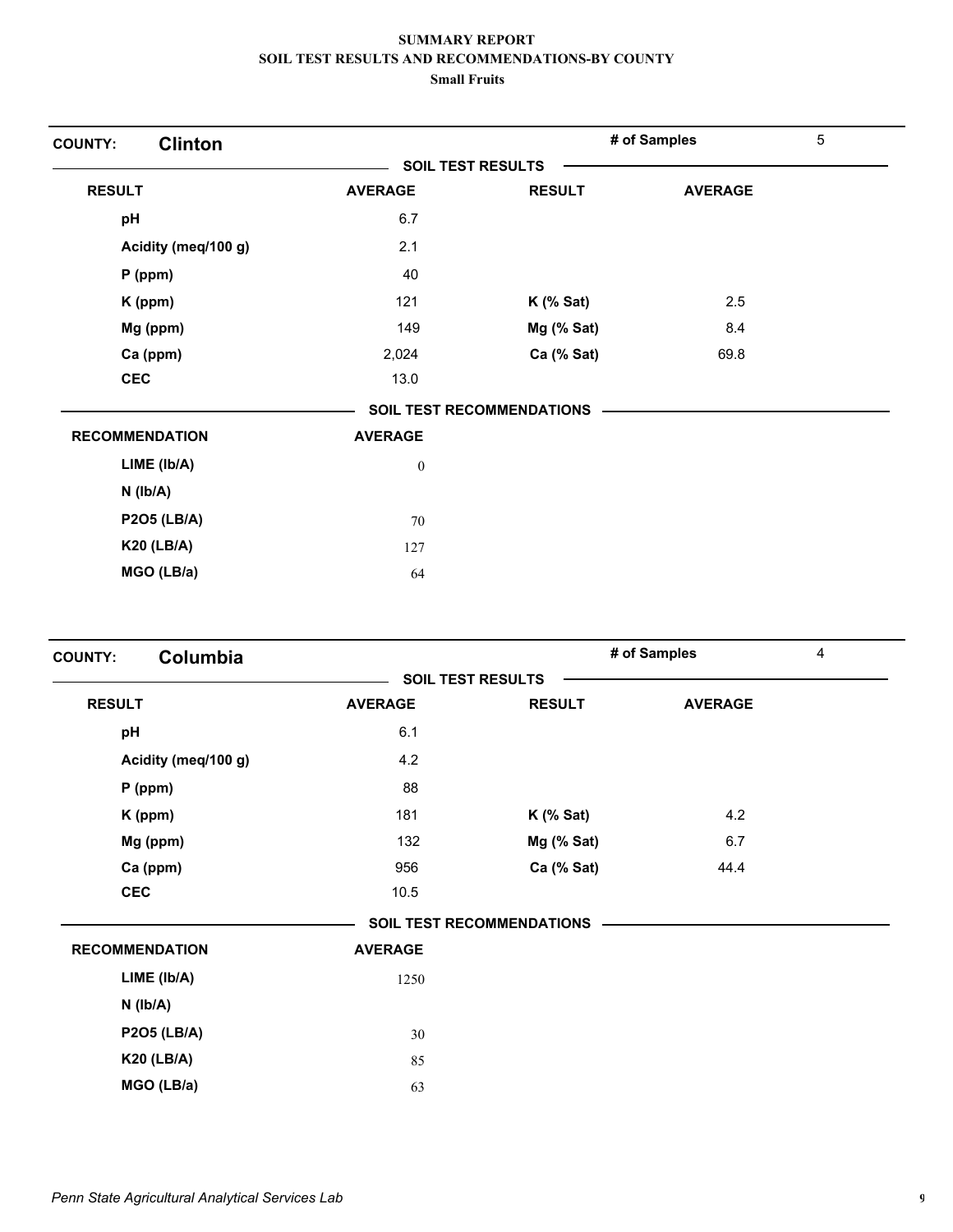| <b>Clinton</b><br><b>COUNTY:</b> |                          |                                  | # of Samples   | 5 |
|----------------------------------|--------------------------|----------------------------------|----------------|---|
|                                  | <b>SOIL TEST RESULTS</b> |                                  |                |   |
| <b>RESULT</b>                    | <b>AVERAGE</b>           | <b>RESULT</b>                    | <b>AVERAGE</b> |   |
| pH                               | 6.7                      |                                  |                |   |
| Acidity (meq/100 g)              | 2.1                      |                                  |                |   |
| $P$ (ppm)                        | 40                       |                                  |                |   |
| K (ppm)                          | 121                      | $K$ (% Sat)                      | 2.5            |   |
| Mg (ppm)                         | 149                      | Mg (% Sat)                       | 8.4            |   |
| Ca (ppm)                         | 2,024                    | Ca (% Sat)                       | 69.8           |   |
| <b>CEC</b>                       | 13.0                     |                                  |                |   |
|                                  |                          | <b>SOIL TEST RECOMMENDATIONS</b> |                |   |
| <b>RECOMMENDATION</b>            | <b>AVERAGE</b>           |                                  |                |   |
| LIME (Ib/A)                      | $\boldsymbol{0}$         |                                  |                |   |
| $N$ ( $lb/A$ )                   |                          |                                  |                |   |
| <b>P2O5 (LB/A)</b>               | 70                       |                                  |                |   |
| <b>K20 (LB/A)</b>                | 127                      |                                  |                |   |
| MGO (LB/a)                       | 64                       |                                  |                |   |

| Columbia<br><b>COUNTY:</b> |                          |                                  | # of Samples   | 4 |
|----------------------------|--------------------------|----------------------------------|----------------|---|
|                            | <b>SOIL TEST RESULTS</b> |                                  |                |   |
| <b>RESULT</b>              | <b>AVERAGE</b>           | <b>RESULT</b>                    | <b>AVERAGE</b> |   |
| pH                         | 6.1                      |                                  |                |   |
| Acidity (meq/100 g)        | 4.2                      |                                  |                |   |
| $P$ (ppm)                  | 88                       |                                  |                |   |
| K (ppm)                    | 181                      | $K$ (% Sat)                      | 4.2            |   |
| Mg (ppm)                   | 132                      | Mg (% Sat)                       | 6.7            |   |
| Ca (ppm)                   | 956                      | Ca (% Sat)                       | 44.4           |   |
| <b>CEC</b>                 | 10.5                     |                                  |                |   |
|                            |                          | <b>SOIL TEST RECOMMENDATIONS</b> |                |   |
| <b>RECOMMENDATION</b>      | <b>AVERAGE</b>           |                                  |                |   |
| LIME (Ib/A)                | 1250                     |                                  |                |   |
| $N$ ( $lb/A$ )             |                          |                                  |                |   |
| <b>P2O5 (LB/A)</b>         | 30                       |                                  |                |   |
| <b>K20 (LB/A)</b>          | 85                       |                                  |                |   |
| MGO (LB/a)                 | 63                       |                                  |                |   |
|                            |                          |                                  |                |   |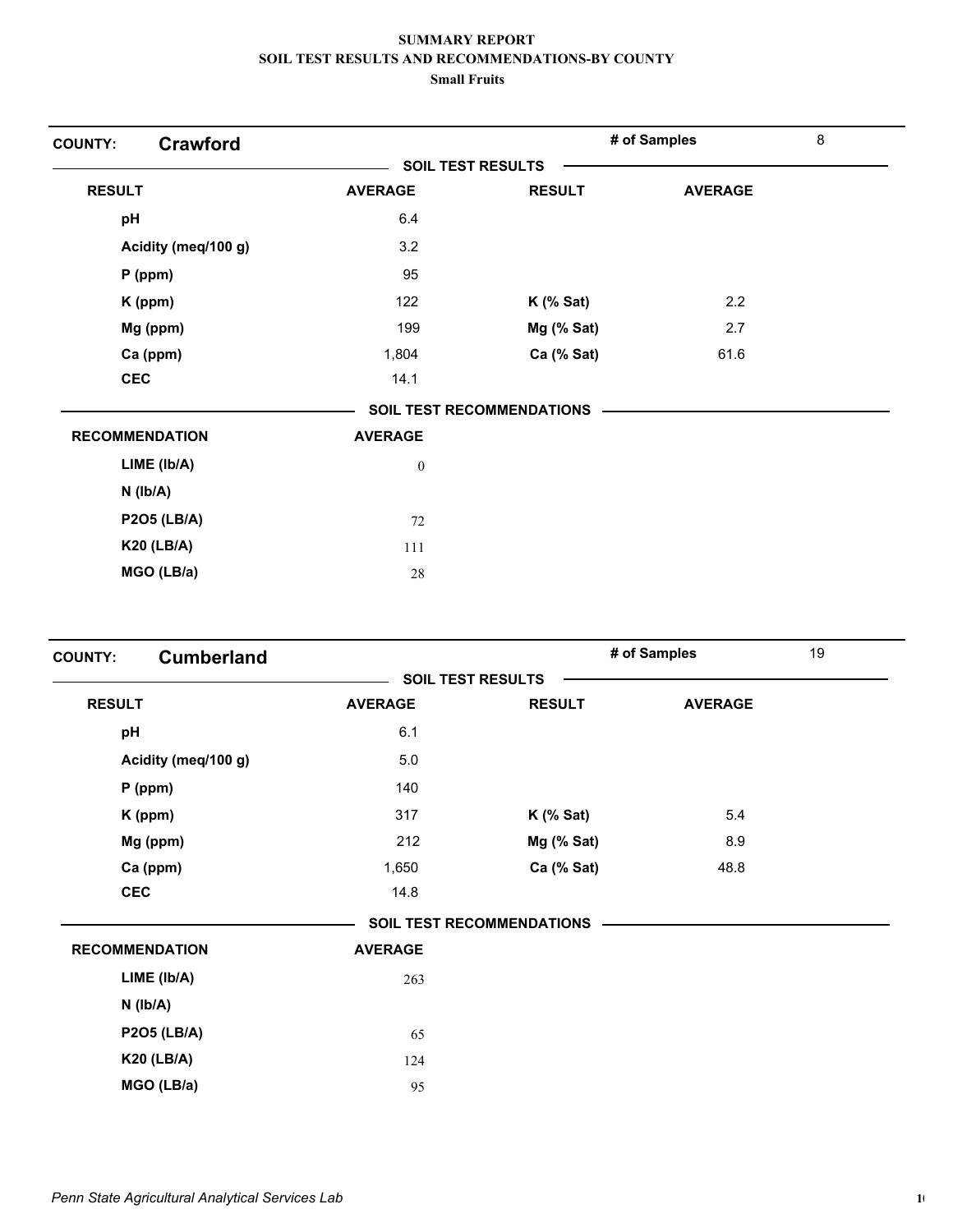| <b>Crawford</b><br><b>COUNTY:</b> |                          |                                  | # of Samples   | 8 |
|-----------------------------------|--------------------------|----------------------------------|----------------|---|
|                                   | <b>SOIL TEST RESULTS</b> |                                  |                |   |
| <b>RESULT</b>                     | <b>AVERAGE</b>           | <b>RESULT</b>                    | <b>AVERAGE</b> |   |
| pH                                | 6.4                      |                                  |                |   |
| Acidity (meq/100 g)               | 3.2                      |                                  |                |   |
| $P$ (ppm)                         | 95                       |                                  |                |   |
| K (ppm)                           | 122                      | $K$ (% Sat)                      | 2.2            |   |
| Mg (ppm)                          | 199                      | Mg (% Sat)                       | 2.7            |   |
| Ca (ppm)                          | 1,804                    | Ca (% Sat)                       | 61.6           |   |
| <b>CEC</b>                        | 14.1                     |                                  |                |   |
|                                   |                          | <b>SOIL TEST RECOMMENDATIONS</b> |                |   |
| <b>RECOMMENDATION</b>             | <b>AVERAGE</b>           |                                  |                |   |
| LIME (lb/A)                       | $\boldsymbol{0}$         |                                  |                |   |
| $N$ ( $lb/A$ )                    |                          |                                  |                |   |
| <b>P2O5 (LB/A)</b>                | 72                       |                                  |                |   |
| <b>K20 (LB/A)</b>                 | 111                      |                                  |                |   |
| MGO (LB/a)                        | 28                       |                                  |                |   |

| <b>Cumberland</b><br><b>COUNTY:</b> |                          |                                  | # of Samples   | 19 |
|-------------------------------------|--------------------------|----------------------------------|----------------|----|
|                                     | <b>SOIL TEST RESULTS</b> |                                  |                |    |
| <b>RESULT</b>                       | <b>AVERAGE</b>           | <b>RESULT</b>                    | <b>AVERAGE</b> |    |
| pH                                  | 6.1                      |                                  |                |    |
| Acidity (meq/100 g)                 | 5.0                      |                                  |                |    |
| $P$ (ppm)                           | 140                      |                                  |                |    |
| K (ppm)                             | 317                      | $K$ (% Sat)                      | 5.4            |    |
| Mg (ppm)                            | 212                      | Mg (% Sat)                       | 8.9            |    |
| Ca (ppm)                            | 1,650                    | Ca (% Sat)                       | 48.8           |    |
| <b>CEC</b>                          | 14.8                     |                                  |                |    |
|                                     |                          | <b>SOIL TEST RECOMMENDATIONS</b> |                |    |
| <b>RECOMMENDATION</b>               | <b>AVERAGE</b>           |                                  |                |    |
| LIME (Ib/A)                         | 263                      |                                  |                |    |
| $N$ ( $lb/A$ )                      |                          |                                  |                |    |
| <b>P2O5 (LB/A)</b>                  | 65                       |                                  |                |    |
| <b>K20 (LB/A)</b>                   | 124                      |                                  |                |    |
| MGO (LB/a)                          | 95                       |                                  |                |    |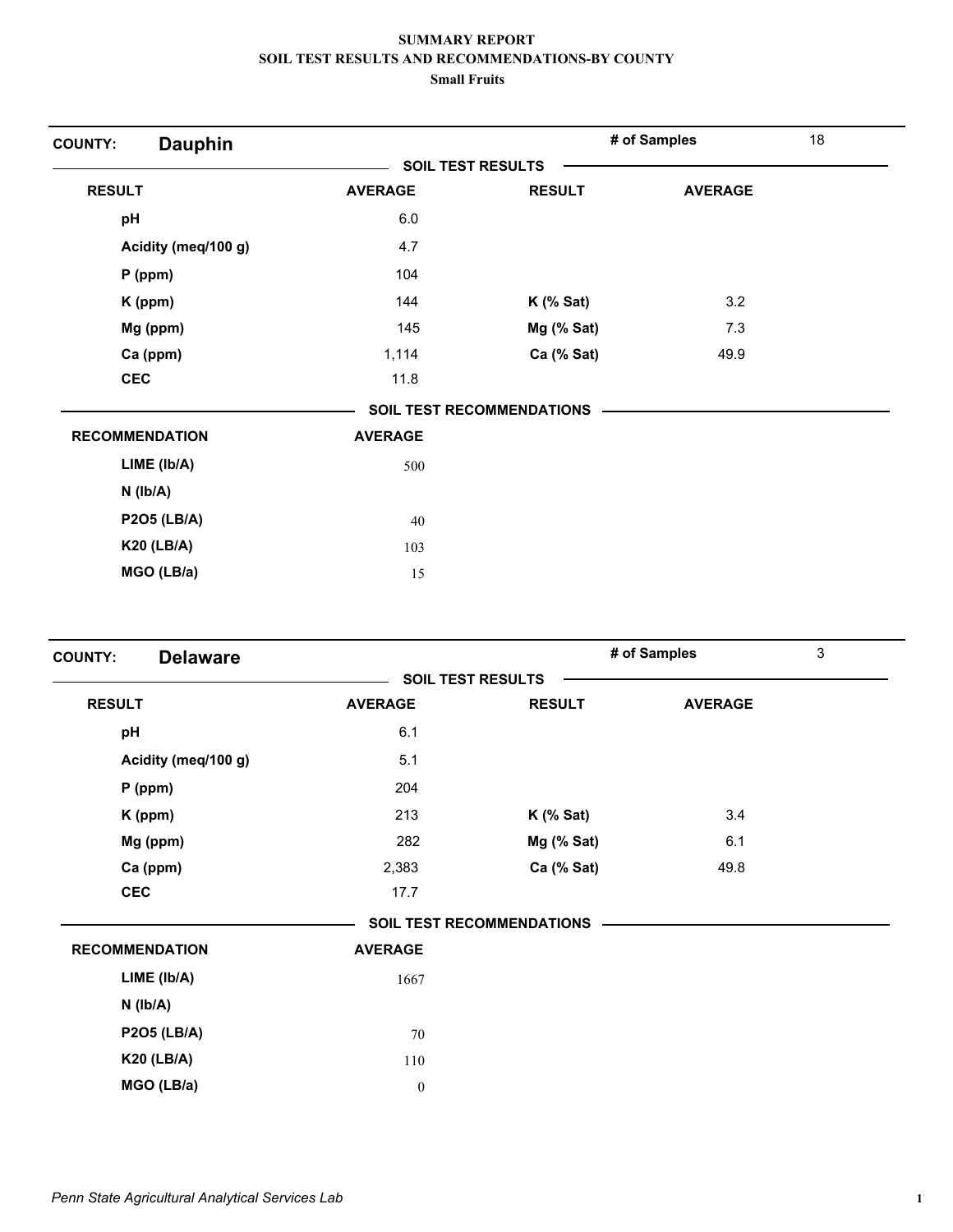| <b>Dauphin</b><br><b>COUNTY:</b> |                |                                  | # of Samples   | 18 |
|----------------------------------|----------------|----------------------------------|----------------|----|
|                                  |                | <b>SOIL TEST RESULTS</b>         |                |    |
| <b>RESULT</b>                    | <b>AVERAGE</b> | <b>RESULT</b>                    | <b>AVERAGE</b> |    |
| pH                               | $6.0\,$        |                                  |                |    |
| Acidity (meq/100 g)              | 4.7            |                                  |                |    |
| $P$ (ppm)                        | 104            |                                  |                |    |
| K (ppm)                          | 144            | $K$ (% Sat)                      | 3.2            |    |
| Mg (ppm)                         | 145            | Mg (% Sat)                       | 7.3            |    |
| Ca (ppm)                         | 1,114          | Ca (% Sat)                       | 49.9           |    |
| <b>CEC</b>                       | 11.8           |                                  |                |    |
|                                  |                | <b>SOIL TEST RECOMMENDATIONS</b> |                |    |
| <b>RECOMMENDATION</b>            | <b>AVERAGE</b> |                                  |                |    |
| LIME (Ib/A)                      | 500            |                                  |                |    |
| $N$ ( $lb/A$ )                   |                |                                  |                |    |
| <b>P2O5 (LB/A)</b>               | 40             |                                  |                |    |
| <b>K20 (LB/A)</b>                | 103            |                                  |                |    |
| MGO (LB/a)                       | 15             |                                  |                |    |

| <b>Delaware</b><br><b>COUNTY:</b> |                          |                                  | # of Samples   | 3 |
|-----------------------------------|--------------------------|----------------------------------|----------------|---|
|                                   | <b>SOIL TEST RESULTS</b> |                                  |                |   |
| <b>RESULT</b>                     | <b>AVERAGE</b>           | <b>RESULT</b>                    | <b>AVERAGE</b> |   |
| pH                                | 6.1                      |                                  |                |   |
| Acidity (meq/100 g)               | 5.1                      |                                  |                |   |
| $P$ (ppm)                         | 204                      |                                  |                |   |
| K (ppm)                           | 213                      | $K$ (% Sat)                      | 3.4            |   |
| Mg (ppm)                          | 282                      | $Mg$ (% Sat)                     | 6.1            |   |
| Ca (ppm)                          | 2,383                    | Ca (% Sat)                       | 49.8           |   |
| <b>CEC</b>                        | 17.7                     |                                  |                |   |
|                                   |                          | <b>SOIL TEST RECOMMENDATIONS</b> |                |   |
| <b>RECOMMENDATION</b>             | <b>AVERAGE</b>           |                                  |                |   |
| LIME (lb/A)                       | 1667                     |                                  |                |   |
| $N$ ( $Ib/A$ )                    |                          |                                  |                |   |
| <b>P2O5 (LB/A)</b>                | 70                       |                                  |                |   |
| <b>K20 (LB/A)</b>                 | 110                      |                                  |                |   |
| MGO (LB/a)                        | $\boldsymbol{0}$         |                                  |                |   |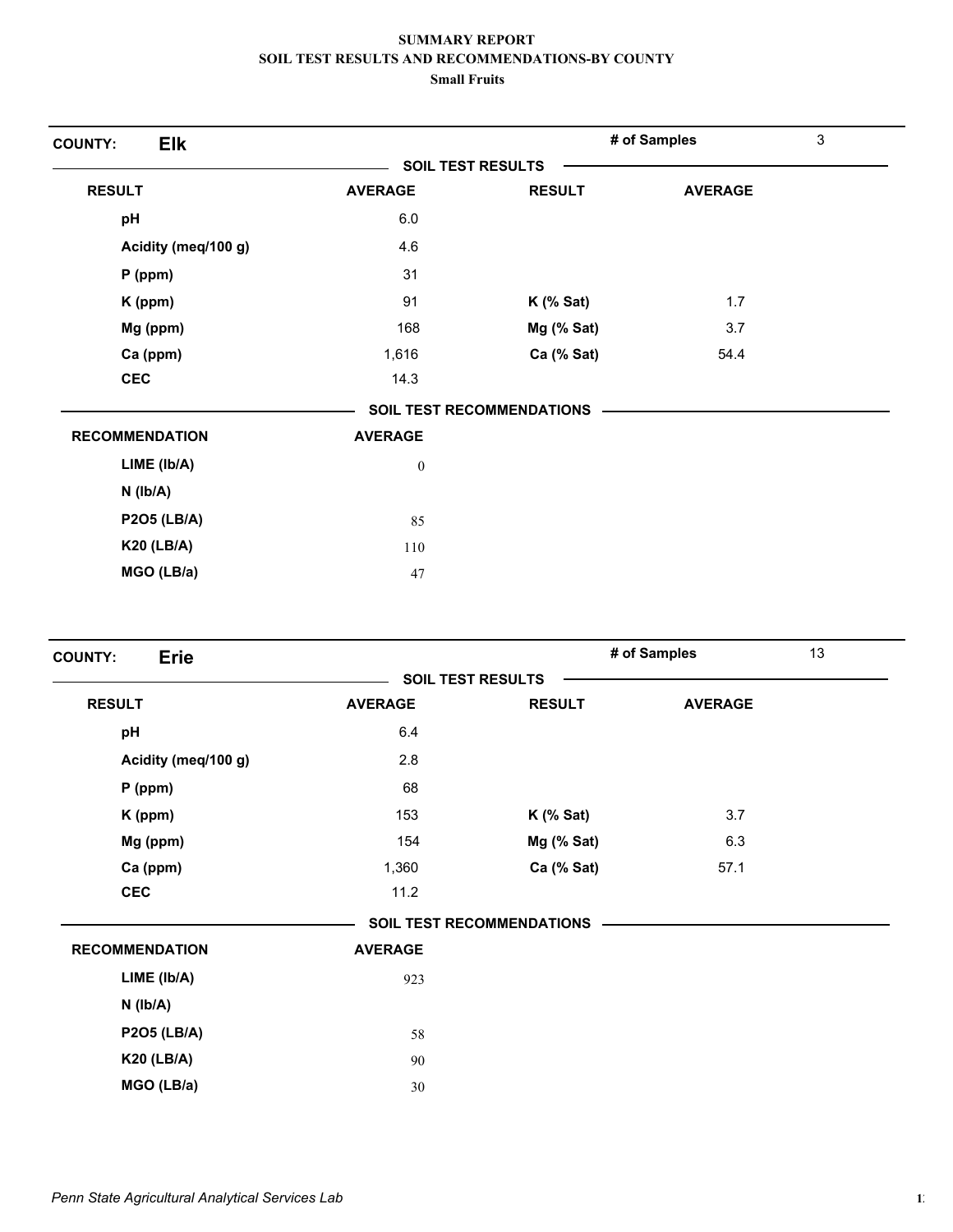| <b>Elk</b><br><b>COUNTY:</b> |                |                                  | # of Samples   | 3 |
|------------------------------|----------------|----------------------------------|----------------|---|
|                              |                | <b>SOIL TEST RESULTS</b>         |                |   |
| <b>RESULT</b>                | <b>AVERAGE</b> | <b>RESULT</b>                    | <b>AVERAGE</b> |   |
| pH                           | 6.0            |                                  |                |   |
| Acidity (meq/100 g)          | 4.6            |                                  |                |   |
| $P$ (ppm)                    | 31             |                                  |                |   |
| K (ppm)                      | 91             | $K$ (% Sat)                      | 1.7            |   |
| Mg (ppm)                     | 168            | Mg (% Sat)                       | 3.7            |   |
| Ca (ppm)                     | 1,616          | Ca (% Sat)                       | 54.4           |   |
| <b>CEC</b>                   | 14.3           |                                  |                |   |
|                              |                | <b>SOIL TEST RECOMMENDATIONS</b> |                |   |
| <b>RECOMMENDATION</b>        | <b>AVERAGE</b> |                                  |                |   |
| LIME (Ib/A)                  | $\bf{0}$       |                                  |                |   |
| $N$ ( $Ib/A$ )               |                |                                  |                |   |
| <b>P2O5 (LB/A)</b>           | 85             |                                  |                |   |
| <b>K20 (LB/A)</b>            | 110            |                                  |                |   |
| MGO (LB/a)                   | 47             |                                  |                |   |

| <b>Erie</b><br><b>COUNTY:</b> |                          |                                  | # of Samples   | 13 |
|-------------------------------|--------------------------|----------------------------------|----------------|----|
|                               | <b>SOIL TEST RESULTS</b> |                                  |                |    |
| <b>RESULT</b>                 | <b>AVERAGE</b>           | <b>RESULT</b>                    | <b>AVERAGE</b> |    |
| pH                            | 6.4                      |                                  |                |    |
| Acidity (meq/100 g)           | 2.8                      |                                  |                |    |
| $P$ (ppm)                     | 68                       |                                  |                |    |
| K (ppm)                       | 153                      | $K$ (% Sat)                      | 3.7            |    |
| Mg (ppm)                      | 154                      | Mg (% Sat)                       | 6.3            |    |
| Ca (ppm)                      | 1,360                    | Ca (% Sat)                       | 57.1           |    |
| <b>CEC</b>                    | 11.2                     |                                  |                |    |
|                               |                          | <b>SOIL TEST RECOMMENDATIONS</b> |                |    |
| <b>RECOMMENDATION</b>         | <b>AVERAGE</b>           |                                  |                |    |
| LIME (Ib/A)                   | 923                      |                                  |                |    |
| $N$ ( $Ib/A$ )                |                          |                                  |                |    |
| <b>P2O5 (LB/A)</b>            | 58                       |                                  |                |    |
| <b>K20 (LB/A)</b>             | 90                       |                                  |                |    |
| MGO (LB/a)                    | 30                       |                                  |                |    |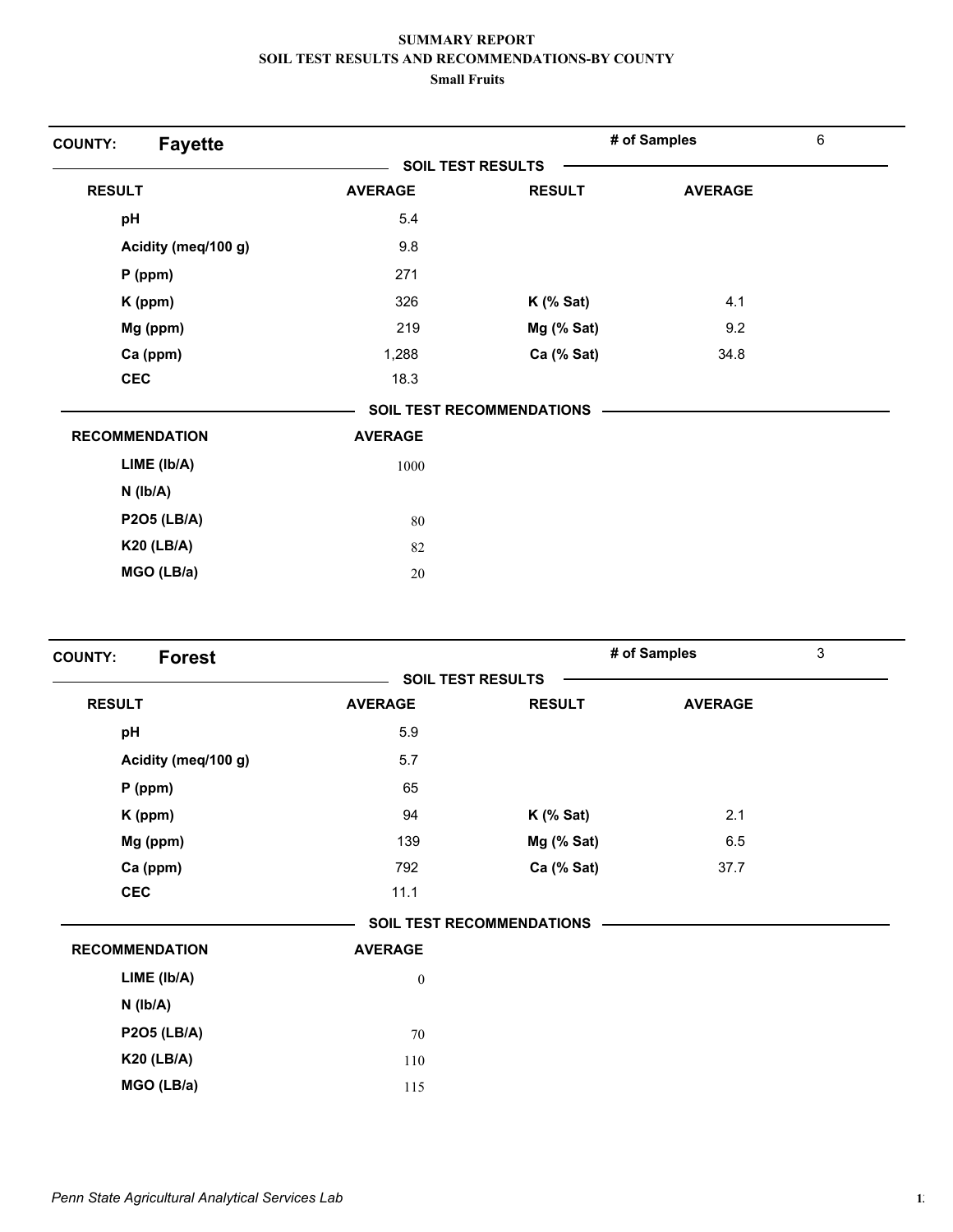| <b>Fayette</b><br><b>COUNTY:</b> |                |                                  | # of Samples   | $\,6\,$ |
|----------------------------------|----------------|----------------------------------|----------------|---------|
|                                  |                | <b>SOIL TEST RESULTS</b>         |                |         |
| <b>RESULT</b>                    | <b>AVERAGE</b> | <b>RESULT</b>                    | <b>AVERAGE</b> |         |
| pH                               | 5.4            |                                  |                |         |
| Acidity (meq/100 g)              | 9.8            |                                  |                |         |
| $P$ (ppm)                        | 271            |                                  |                |         |
| K (ppm)                          | 326            | $K$ (% Sat)                      | 4.1            |         |
| Mg (ppm)                         | 219            | Mg (% Sat)                       | 9.2            |         |
| Ca (ppm)                         | 1,288          | Ca (% Sat)                       | 34.8           |         |
| <b>CEC</b>                       | 18.3           |                                  |                |         |
|                                  |                | <b>SOIL TEST RECOMMENDATIONS</b> |                |         |
| <b>RECOMMENDATION</b>            | <b>AVERAGE</b> |                                  |                |         |
| $LIME$ ( $lb/A$ )                | 1000           |                                  |                |         |
| $N$ ( $Ib/A$ )                   |                |                                  |                |         |
| <b>P2O5 (LB/A)</b>               | 80             |                                  |                |         |
| <b>K20 (LB/A)</b>                | 82             |                                  |                |         |
| MGO (LB/a)                       | 20             |                                  |                |         |

| <b>Forest</b><br><b>COUNTY:</b> |                  |                                  | # of Samples   | 3 |
|---------------------------------|------------------|----------------------------------|----------------|---|
|                                 |                  | <b>SOIL TEST RESULTS</b>         |                |   |
| <b>RESULT</b>                   | <b>AVERAGE</b>   | <b>RESULT</b>                    | <b>AVERAGE</b> |   |
| pH                              | 5.9              |                                  |                |   |
| Acidity (meq/100 g)             | 5.7              |                                  |                |   |
| $P$ (ppm)                       | 65               |                                  |                |   |
| K (ppm)                         | 94               | $K$ (% Sat)                      | 2.1            |   |
| Mg (ppm)                        | 139              | Mg (% Sat)                       | 6.5            |   |
| Ca (ppm)                        | 792              | Ca (% Sat)                       | 37.7           |   |
| <b>CEC</b>                      | 11.1             |                                  |                |   |
|                                 |                  | <b>SOIL TEST RECOMMENDATIONS</b> |                |   |
| <b>RECOMMENDATION</b>           | <b>AVERAGE</b>   |                                  |                |   |
| LIME (Ib/A)                     | $\boldsymbol{0}$ |                                  |                |   |
| $N$ ( $Ib/A$ )                  |                  |                                  |                |   |
| <b>P2O5 (LB/A)</b>              | $70\,$           |                                  |                |   |
| <b>K20 (LB/A)</b>               | 110              |                                  |                |   |
| MGO (LB/a)                      | 115              |                                  |                |   |
|                                 |                  |                                  |                |   |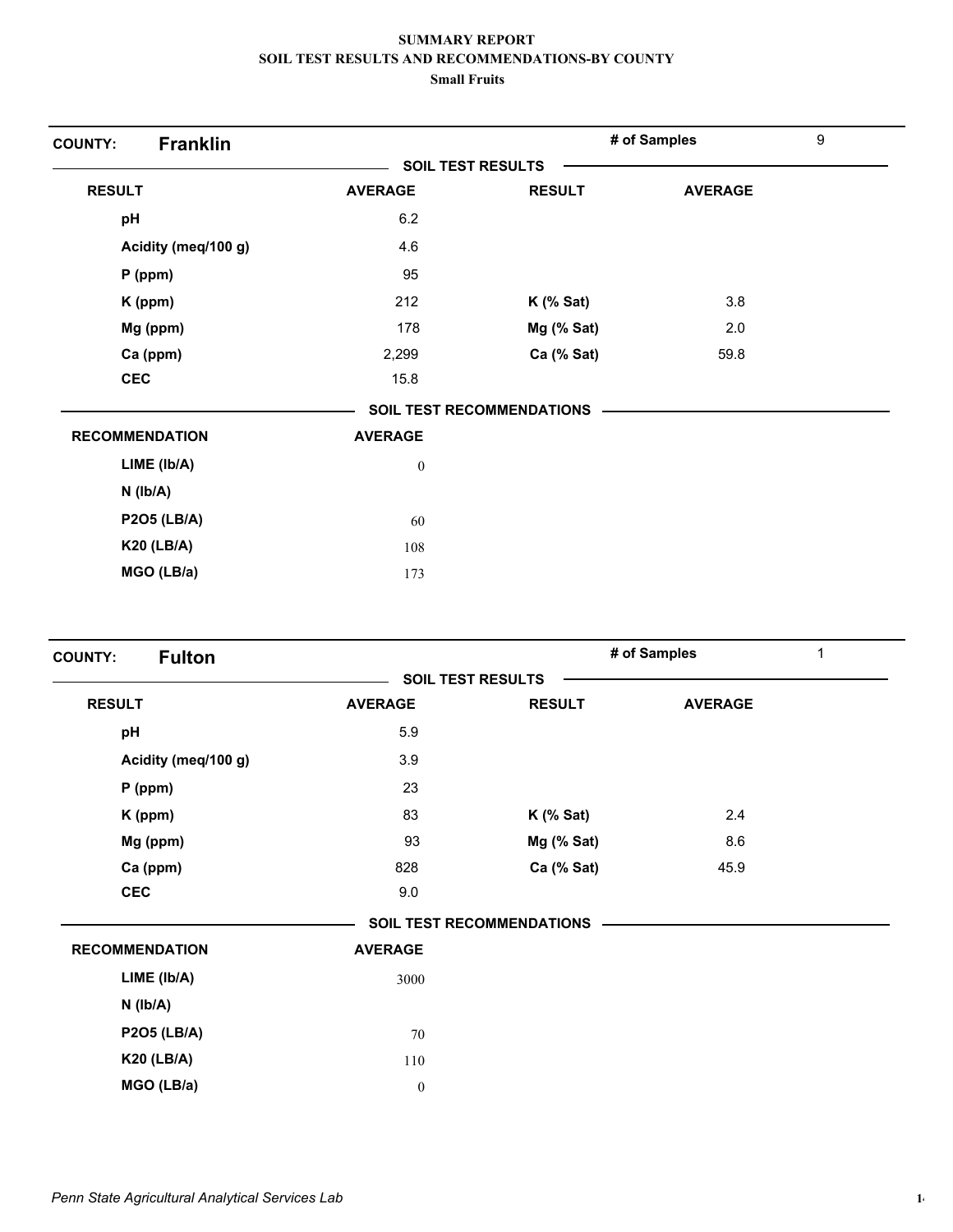| <b>Franklin</b><br><b>COUNTY:</b> |                          |                                  | # of Samples   | $\boldsymbol{9}$ |
|-----------------------------------|--------------------------|----------------------------------|----------------|------------------|
|                                   | <b>SOIL TEST RESULTS</b> |                                  |                |                  |
| <b>RESULT</b>                     | <b>AVERAGE</b>           | <b>RESULT</b>                    | <b>AVERAGE</b> |                  |
| pH                                | 6.2                      |                                  |                |                  |
| Acidity (meq/100 g)               | 4.6                      |                                  |                |                  |
| $P$ (ppm)                         | 95                       |                                  |                |                  |
| K (ppm)                           | 212                      | $K$ (% Sat)                      | 3.8            |                  |
| Mg (ppm)                          | 178                      | Mg (% Sat)                       | 2.0            |                  |
| Ca (ppm)                          | 2,299                    | Ca (% Sat)                       | 59.8           |                  |
| <b>CEC</b>                        | 15.8                     |                                  |                |                  |
|                                   |                          | <b>SOIL TEST RECOMMENDATIONS</b> |                |                  |
| <b>RECOMMENDATION</b>             | <b>AVERAGE</b>           |                                  |                |                  |
| LIME (lb/A)                       | $\boldsymbol{0}$         |                                  |                |                  |
| $N$ ( $lb/A$ )                    |                          |                                  |                |                  |
| <b>P2O5 (LB/A)</b>                | 60                       |                                  |                |                  |
| <b>K20 (LB/A)</b>                 | 108                      |                                  |                |                  |
| MGO (LB/a)                        | 173                      |                                  |                |                  |

| <b>Fulton</b><br><b>COUNTY:</b> |                  |                                  | # of Samples   | $\mathbf{1}$ |
|---------------------------------|------------------|----------------------------------|----------------|--------------|
|                                 |                  | <b>SOIL TEST RESULTS</b>         |                |              |
| <b>RESULT</b>                   | <b>AVERAGE</b>   | <b>RESULT</b>                    | <b>AVERAGE</b> |              |
| pH                              | 5.9              |                                  |                |              |
| Acidity (meq/100 g)             | 3.9              |                                  |                |              |
| $P$ (ppm)                       | 23               |                                  |                |              |
| K (ppm)                         | 83               | $K$ (% Sat)                      | 2.4            |              |
| Mg (ppm)                        | 93               | $Mg$ (% Sat)                     | 8.6            |              |
| Ca (ppm)                        | 828              | Ca (% Sat)                       | 45.9           |              |
| <b>CEC</b>                      | 9.0              |                                  |                |              |
|                                 |                  | <b>SOIL TEST RECOMMENDATIONS</b> |                |              |
| <b>RECOMMENDATION</b>           | <b>AVERAGE</b>   |                                  |                |              |
| $LIME$ ( $lb/A$ )               | 3000             |                                  |                |              |
| $N$ ( $lb/A$ )                  |                  |                                  |                |              |
| <b>P2O5 (LB/A)</b>              | 70               |                                  |                |              |
| <b>K20 (LB/A)</b>               | 110              |                                  |                |              |
| MGO (LB/a)                      | $\boldsymbol{0}$ |                                  |                |              |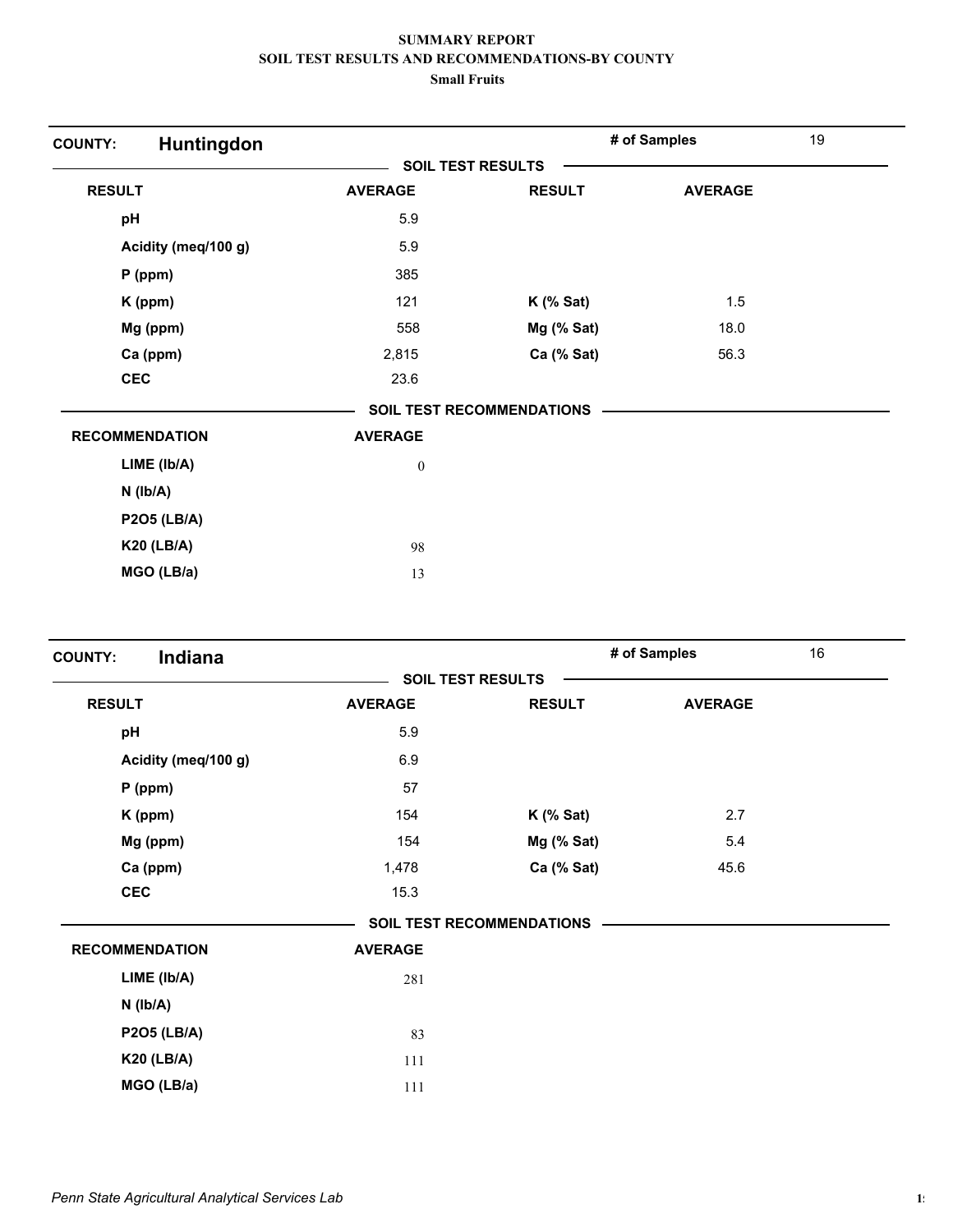| Huntingdon<br><b>COUNTY:</b> |                          |                                  | # of Samples   | 19 |
|------------------------------|--------------------------|----------------------------------|----------------|----|
|                              | <b>SOIL TEST RESULTS</b> |                                  |                |    |
| <b>RESULT</b>                | <b>AVERAGE</b>           | <b>RESULT</b>                    | <b>AVERAGE</b> |    |
| pH                           | 5.9                      |                                  |                |    |
| Acidity (meq/100 g)          | 5.9                      |                                  |                |    |
| $P$ (ppm)                    | 385                      |                                  |                |    |
| K (ppm)                      | 121                      | $K$ (% Sat)                      | 1.5            |    |
| Mg (ppm)                     | 558                      | Mg (% Sat)                       | 18.0           |    |
| Ca (ppm)                     | 2,815                    | Ca (% Sat)                       | 56.3           |    |
| <b>CEC</b>                   | 23.6                     |                                  |                |    |
|                              |                          | <b>SOIL TEST RECOMMENDATIONS</b> |                |    |
| <b>RECOMMENDATION</b>        | <b>AVERAGE</b>           |                                  |                |    |
| LIME (Ib/A)                  | $\boldsymbol{0}$         |                                  |                |    |
| $N$ ( $lb/A$ )               |                          |                                  |                |    |
| <b>P2O5 (LB/A)</b>           |                          |                                  |                |    |
| <b>K20 (LB/A)</b>            | 98                       |                                  |                |    |
| MGO (LB/a)                   | 13                       |                                  |                |    |

| Indiana<br><b>COUNTY:</b> |                |                                  | # of Samples   | 16 |
|---------------------------|----------------|----------------------------------|----------------|----|
|                           |                | <b>SOIL TEST RESULTS</b>         |                |    |
| <b>RESULT</b>             | <b>AVERAGE</b> | <b>RESULT</b>                    | <b>AVERAGE</b> |    |
| pH                        | 5.9            |                                  |                |    |
| Acidity (meq/100 g)       | 6.9            |                                  |                |    |
| $P$ (ppm)                 | 57             |                                  |                |    |
| K (ppm)                   | 154            | $K$ (% Sat)                      | 2.7            |    |
| Mg (ppm)                  | 154            | $Mg$ (% Sat)                     | 5.4            |    |
| Ca (ppm)                  | 1,478          | Ca (% Sat)                       | 45.6           |    |
| <b>CEC</b>                | 15.3           |                                  |                |    |
|                           |                | <b>SOIL TEST RECOMMENDATIONS</b> |                |    |
| <b>RECOMMENDATION</b>     | <b>AVERAGE</b> |                                  |                |    |
| LIME (Ib/A)               | 281            |                                  |                |    |
| $N$ ( $lb/A$ )            |                |                                  |                |    |
| <b>P2O5 (LB/A)</b>        | 83             |                                  |                |    |
| <b>K20 (LB/A)</b>         | 111            |                                  |                |    |
| MGO (LB/a)                | 111            |                                  |                |    |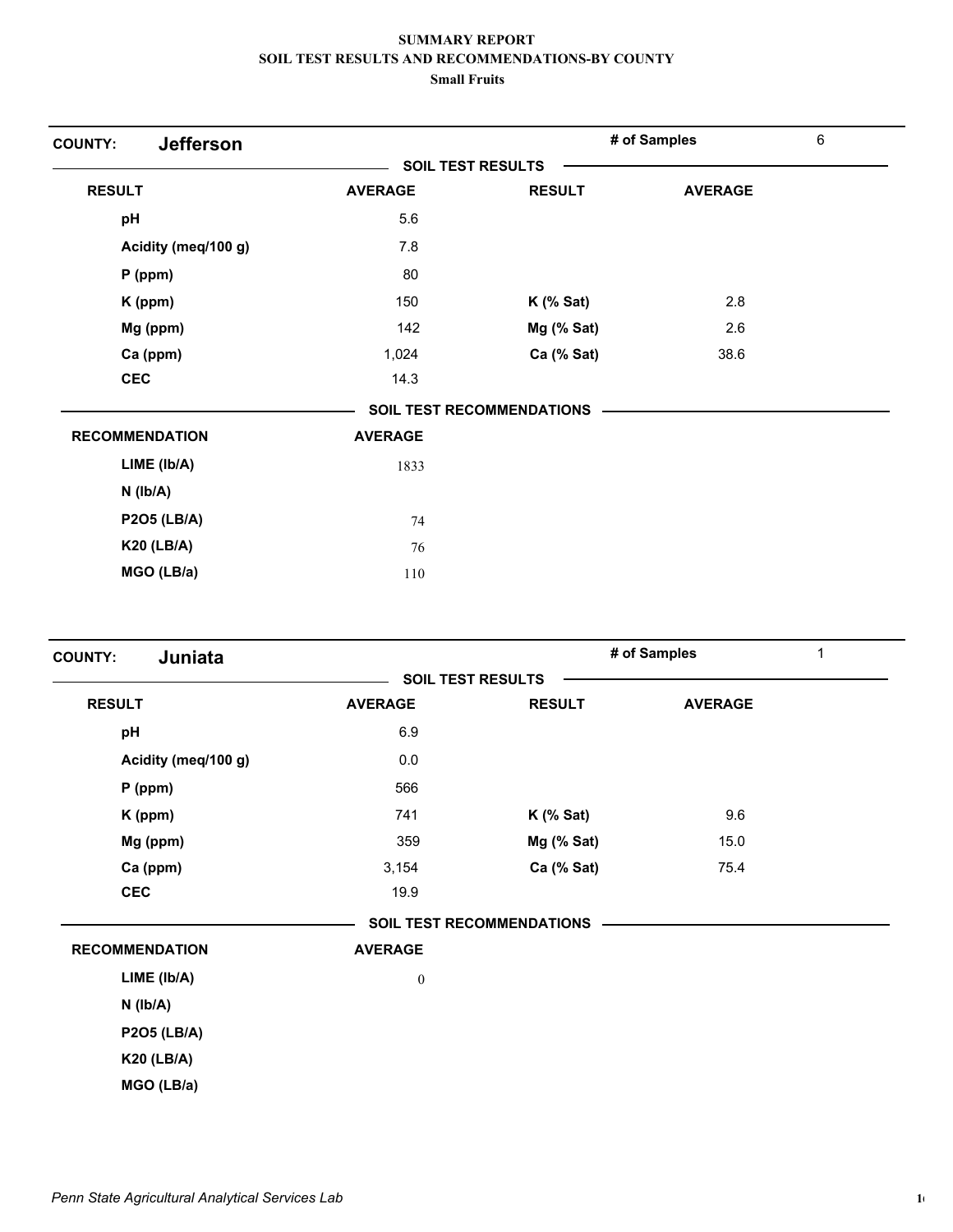| <b>Jefferson</b><br><b>COUNTY:</b> |                |                                  | # of Samples   | 6 |
|------------------------------------|----------------|----------------------------------|----------------|---|
|                                    |                | <b>SOIL TEST RESULTS</b>         |                |   |
| <b>RESULT</b>                      | <b>AVERAGE</b> | <b>RESULT</b>                    | <b>AVERAGE</b> |   |
| pH                                 | 5.6            |                                  |                |   |
| Acidity (meq/100 g)                | 7.8            |                                  |                |   |
| $P$ (ppm)                          | 80             |                                  |                |   |
| K (ppm)                            | 150            | $K$ (% Sat)                      | 2.8            |   |
| Mg (ppm)                           | 142            | Mg (% Sat)                       | 2.6            |   |
| Ca (ppm)                           | 1,024          | Ca (% Sat)                       | 38.6           |   |
| <b>CEC</b>                         | 14.3           |                                  |                |   |
|                                    |                | <b>SOIL TEST RECOMMENDATIONS</b> |                |   |
| <b>RECOMMENDATION</b>              | <b>AVERAGE</b> |                                  |                |   |
| LIME (Ib/A)                        | 1833           |                                  |                |   |
| $N$ ( $Ib/A$ )                     |                |                                  |                |   |
| <b>P2O5 (LB/A)</b>                 | 74             |                                  |                |   |
| <b>K20 (LB/A)</b>                  | 76             |                                  |                |   |
| MGO (LB/a)                         | 110            |                                  |                |   |

| Juniata<br><b>COUNTY:</b> |                  |                                  | # of Samples<br>$\mathbf{1}$ |  |  |
|---------------------------|------------------|----------------------------------|------------------------------|--|--|
|                           |                  | <b>SOIL TEST RESULTS</b>         |                              |  |  |
| <b>RESULT</b>             | <b>AVERAGE</b>   | <b>RESULT</b>                    | <b>AVERAGE</b>               |  |  |
| pH                        | 6.9              |                                  |                              |  |  |
| Acidity (meq/100 g)       | 0.0              |                                  |                              |  |  |
| $P$ (ppm)                 | 566              |                                  |                              |  |  |
| K (ppm)                   | 741              | $K$ (% Sat)                      | 9.6                          |  |  |
| Mg (ppm)                  | 359              | $Mg$ (% Sat)                     | 15.0                         |  |  |
| Ca (ppm)                  | 3,154            | Ca (% Sat)                       | 75.4                         |  |  |
| <b>CEC</b>                | 19.9             |                                  |                              |  |  |
|                           |                  | <b>SOIL TEST RECOMMENDATIONS</b> |                              |  |  |
| <b>RECOMMENDATION</b>     | <b>AVERAGE</b>   |                                  |                              |  |  |
| LIME (Ib/A)               | $\boldsymbol{0}$ |                                  |                              |  |  |
| $N$ ( $Ib/A$ )            |                  |                                  |                              |  |  |
| <b>P2O5 (LB/A)</b>        |                  |                                  |                              |  |  |
| <b>K20 (LB/A)</b>         |                  |                                  |                              |  |  |
| MGO (LB/a)                |                  |                                  |                              |  |  |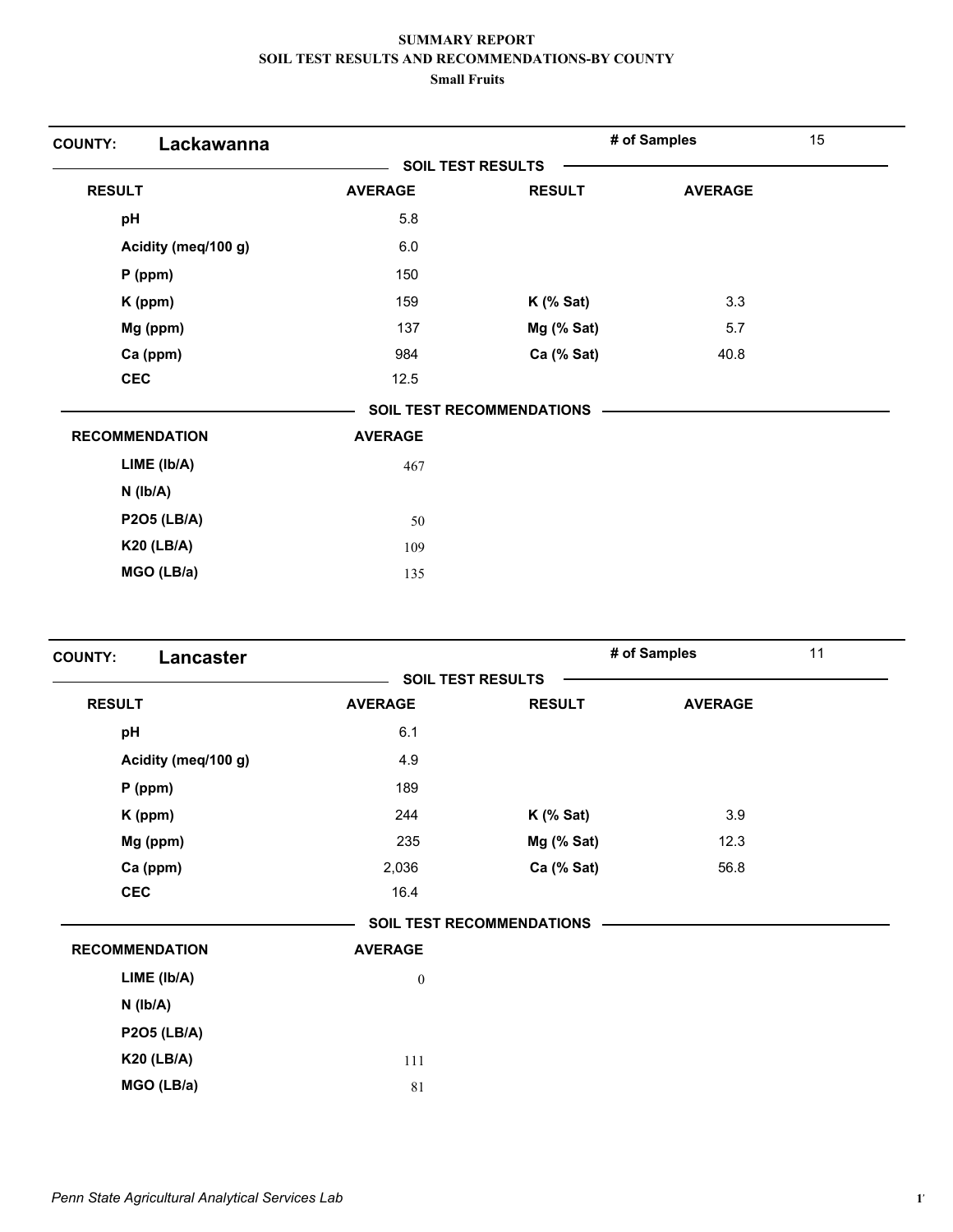| Lackawanna<br><b>COUNTY:</b> |                |                                  | # of Samples   | 15 |
|------------------------------|----------------|----------------------------------|----------------|----|
|                              |                | <b>SOIL TEST RESULTS</b>         |                |    |
| <b>RESULT</b>                | <b>AVERAGE</b> | <b>RESULT</b>                    | <b>AVERAGE</b> |    |
| pH                           | 5.8            |                                  |                |    |
| Acidity (meq/100 g)          | 6.0            |                                  |                |    |
| $P$ (ppm)                    | 150            |                                  |                |    |
| K (ppm)                      | 159            | $K$ (% Sat)                      | 3.3            |    |
| Mg (ppm)                     | 137            | Mg (% Sat)                       | 5.7            |    |
| Ca (ppm)                     | 984            | Ca (% Sat)                       | 40.8           |    |
| <b>CEC</b>                   | 12.5           |                                  |                |    |
|                              |                | <b>SOIL TEST RECOMMENDATIONS</b> |                |    |
| <b>RECOMMENDATION</b>        | <b>AVERAGE</b> |                                  |                |    |
| LIME (Ib/A)                  | 467            |                                  |                |    |
| $N$ ( $Ib/A$ )               |                |                                  |                |    |
| <b>P2O5 (LB/A)</b>           | 50             |                                  |                |    |
| <b>K20 (LB/A)</b>            | 109            |                                  |                |    |
| MGO (LB/a)                   | 135            |                                  |                |    |

| <b>Lancaster</b><br><b>COUNTY:</b> |                  |                                  | # of Samples   | 11 |
|------------------------------------|------------------|----------------------------------|----------------|----|
|                                    |                  | <b>SOIL TEST RESULTS</b>         |                |    |
| <b>RESULT</b>                      | <b>AVERAGE</b>   | <b>RESULT</b>                    | <b>AVERAGE</b> |    |
| pH                                 | 6.1              |                                  |                |    |
| Acidity (meq/100 g)                | 4.9              |                                  |                |    |
| $P$ (ppm)                          | 189              |                                  |                |    |
| K (ppm)                            | 244              | $K$ (% Sat)                      | 3.9            |    |
| Mg (ppm)                           | 235              | $Mg$ (% Sat)                     | 12.3           |    |
| Ca (ppm)                           | 2,036            | Ca (% Sat)                       | 56.8           |    |
| <b>CEC</b>                         | 16.4             |                                  |                |    |
|                                    |                  | <b>SOIL TEST RECOMMENDATIONS</b> |                |    |
| <b>RECOMMENDATION</b>              | <b>AVERAGE</b>   |                                  |                |    |
| LIME (Ib/A)                        | $\boldsymbol{0}$ |                                  |                |    |
| $N$ ( $Ib/A$ )                     |                  |                                  |                |    |
| <b>P2O5 (LB/A)</b>                 |                  |                                  |                |    |
| <b>K20 (LB/A)</b>                  | 111              |                                  |                |    |
| MGO (LB/a)                         | 81               |                                  |                |    |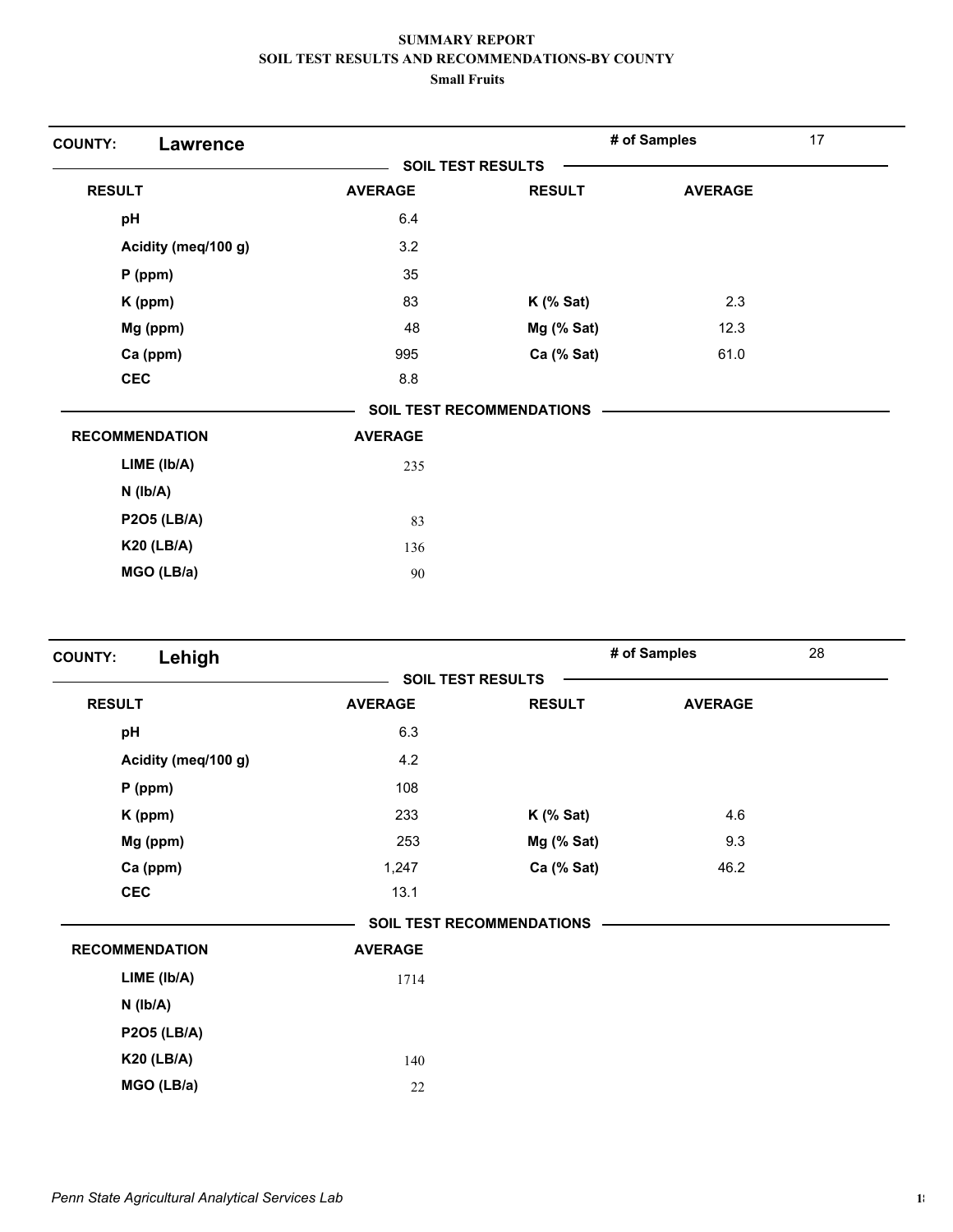| <b>COUNTY:</b><br><b>Lawrence</b> |                          |                                  | # of Samples   | 17 |
|-----------------------------------|--------------------------|----------------------------------|----------------|----|
|                                   | <b>SOIL TEST RESULTS</b> |                                  |                |    |
| <b>RESULT</b>                     | <b>AVERAGE</b>           | <b>RESULT</b>                    | <b>AVERAGE</b> |    |
| pH                                | 6.4                      |                                  |                |    |
| Acidity (meq/100 g)               | 3.2                      |                                  |                |    |
| $P$ (ppm)                         | 35                       |                                  |                |    |
| K (ppm)                           | 83                       | $K$ (% Sat)                      | 2.3            |    |
| Mg (ppm)                          | 48                       | Mg (% Sat)                       | 12.3           |    |
| Ca (ppm)                          | 995                      | Ca (% Sat)                       | 61.0           |    |
| <b>CEC</b>                        | 8.8                      |                                  |                |    |
|                                   |                          | <b>SOIL TEST RECOMMENDATIONS</b> |                |    |
| <b>RECOMMENDATION</b>             | <b>AVERAGE</b>           |                                  |                |    |
| LIME (Ib/A)                       | 235                      |                                  |                |    |
| $N$ ( $lb/A$ )                    |                          |                                  |                |    |
| <b>P2O5 (LB/A)</b>                | 83                       |                                  |                |    |
| <b>K20 (LB/A)</b>                 | 136                      |                                  |                |    |
| MGO (LB/a)                        | 90                       |                                  |                |    |

| Lehigh<br><b>COUNTY:</b> |                          |                                  | # of Samples   | 28 |
|--------------------------|--------------------------|----------------------------------|----------------|----|
|                          | <b>SOIL TEST RESULTS</b> |                                  |                |    |
| <b>RESULT</b>            | <b>AVERAGE</b>           | <b>RESULT</b>                    | <b>AVERAGE</b> |    |
| pH                       | 6.3                      |                                  |                |    |
| Acidity (meq/100 g)      | 4.2                      |                                  |                |    |
| $P$ (ppm)                | 108                      |                                  |                |    |
| K (ppm)                  | 233                      | $K$ (% Sat)                      | 4.6            |    |
| Mg (ppm)                 | 253                      | $Mg$ (% Sat)                     | 9.3            |    |
| Ca (ppm)                 | 1,247                    | Ca (% Sat)                       | 46.2           |    |
| <b>CEC</b>               | 13.1                     |                                  |                |    |
|                          |                          | <b>SOIL TEST RECOMMENDATIONS</b> |                |    |
| <b>RECOMMENDATION</b>    | <b>AVERAGE</b>           |                                  |                |    |
| LIME (Ib/A)              | 1714                     |                                  |                |    |
| $N$ ( $lb/A$ )           |                          |                                  |                |    |
| <b>P2O5 (LB/A)</b>       |                          |                                  |                |    |
| <b>K20 (LB/A)</b>        | 140                      |                                  |                |    |
| MGO (LB/a)               | 22                       |                                  |                |    |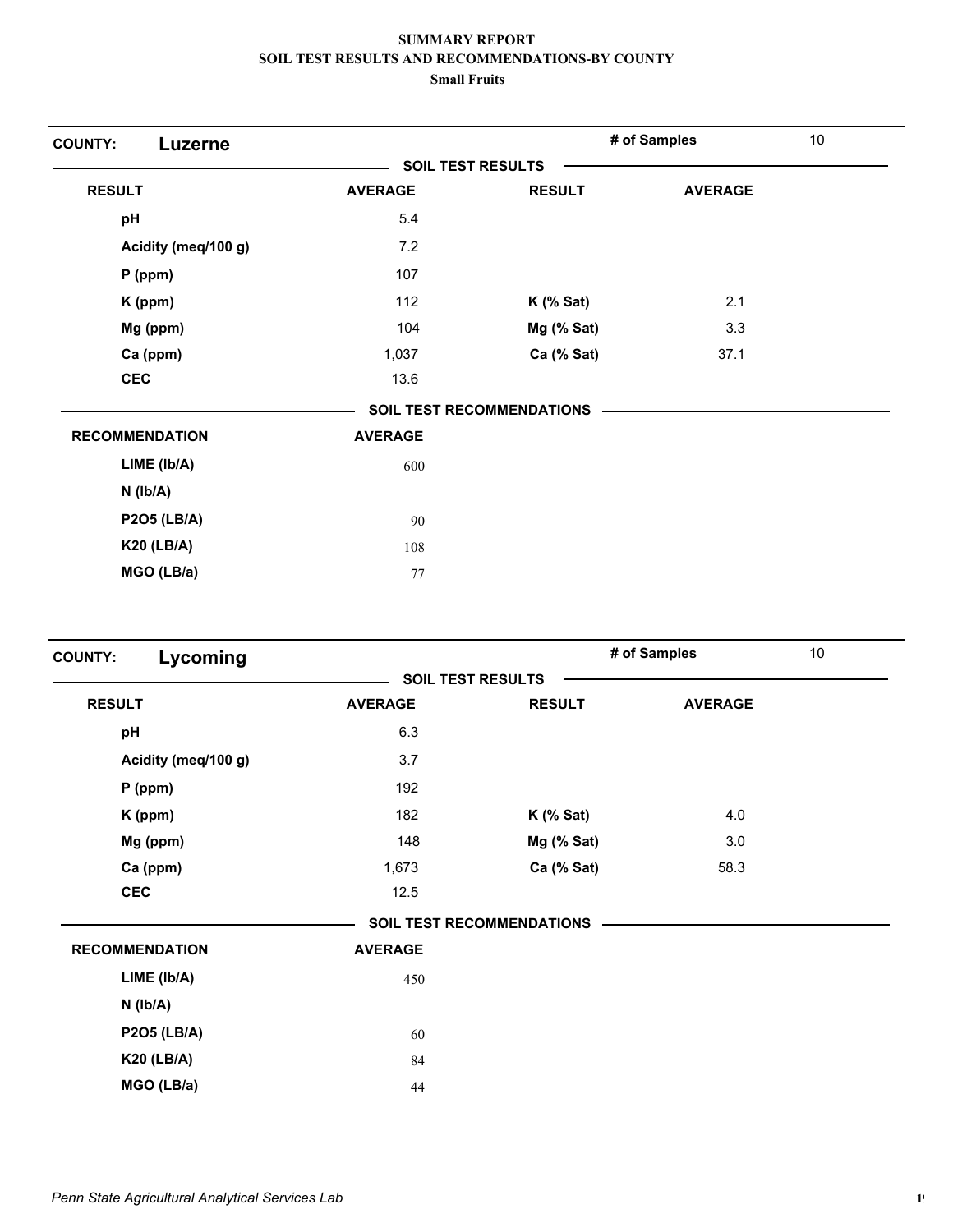| <b>COUNTY:</b><br>Luzerne |                          |                                  | # of Samples   | 10 |
|---------------------------|--------------------------|----------------------------------|----------------|----|
|                           | <b>SOIL TEST RESULTS</b> |                                  |                |    |
| <b>RESULT</b>             | <b>AVERAGE</b>           | <b>RESULT</b>                    | <b>AVERAGE</b> |    |
| pH                        | 5.4                      |                                  |                |    |
| Acidity (meq/100 g)       | 7.2                      |                                  |                |    |
| $P$ (ppm)                 | 107                      |                                  |                |    |
| K (ppm)                   | 112                      | $K$ (% Sat)                      | 2.1            |    |
| Mg (ppm)                  | 104                      | Mg (% Sat)                       | 3.3            |    |
| Ca (ppm)                  | 1,037                    | Ca (% Sat)                       | 37.1           |    |
| <b>CEC</b>                | 13.6                     |                                  |                |    |
|                           |                          | <b>SOIL TEST RECOMMENDATIONS</b> |                |    |
| <b>RECOMMENDATION</b>     | <b>AVERAGE</b>           |                                  |                |    |
| LIME (Ib/A)               | 600                      |                                  |                |    |
| $N$ ( $lb/A$ )            |                          |                                  |                |    |
| <b>P2O5 (LB/A)</b>        | 90                       |                                  |                |    |
| <b>K20 (LB/A)</b>         | 108                      |                                  |                |    |
| MGO (LB/a)                | 77                       |                                  |                |    |

| Lycoming              |                |                                  | # of Samples   | 10 |
|-----------------------|----------------|----------------------------------|----------------|----|
|                       |                | <b>SOIL TEST RESULTS</b>         |                |    |
| <b>RESULT</b>         | <b>AVERAGE</b> | <b>RESULT</b>                    | <b>AVERAGE</b> |    |
| pH                    | 6.3            |                                  |                |    |
| Acidity (meq/100 g)   | 3.7            |                                  |                |    |
| $P$ (ppm)             | 192            |                                  |                |    |
| K (ppm)               | 182            | $K$ (% Sat)                      | 4.0            |    |
| Mg (ppm)              | 148            | Mg (% Sat)                       | 3.0            |    |
| Ca (ppm)              | 1,673          | Ca (% Sat)                       | 58.3           |    |
| <b>CEC</b>            | 12.5           |                                  |                |    |
|                       |                | <b>SOIL TEST RECOMMENDATIONS</b> |                |    |
| <b>RECOMMENDATION</b> | <b>AVERAGE</b> |                                  |                |    |
| $LIME$ ( $lb/A$ )     | 450            |                                  |                |    |
| $N$ ( $lb/A$ )        |                |                                  |                |    |
| <b>P2O5 (LB/A)</b>    | 60             |                                  |                |    |
| <b>K20 (LB/A)</b>     | 84             |                                  |                |    |
| MGO (LB/a)            | 44             |                                  |                |    |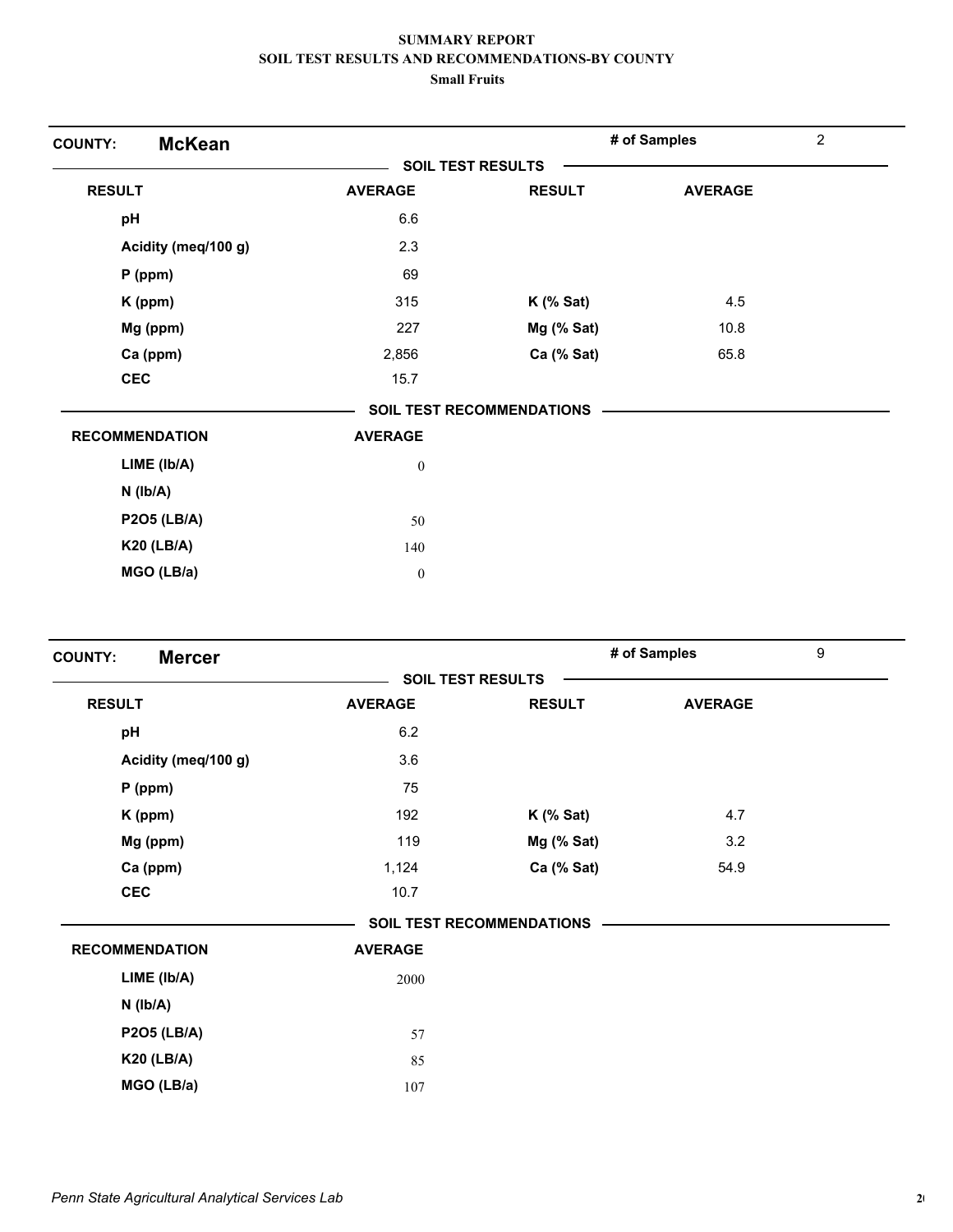| <b>McKean</b><br><b>COUNTY:</b> |                          |                                  | # of Samples   | $\overline{2}$ |
|---------------------------------|--------------------------|----------------------------------|----------------|----------------|
|                                 | <b>SOIL TEST RESULTS</b> |                                  |                |                |
| <b>RESULT</b>                   | <b>AVERAGE</b>           | <b>RESULT</b>                    | <b>AVERAGE</b> |                |
| pH                              | 6.6                      |                                  |                |                |
| Acidity (meq/100 g)             | 2.3                      |                                  |                |                |
| $P$ (ppm)                       | 69                       |                                  |                |                |
| K (ppm)                         | 315                      | $K$ (% Sat)                      | 4.5            |                |
| Mg (ppm)                        | 227                      | $Mg$ (% Sat)                     | 10.8           |                |
| Ca (ppm)                        | 2,856                    | Ca (% Sat)                       | 65.8           |                |
| <b>CEC</b>                      | 15.7                     |                                  |                |                |
|                                 |                          | <b>SOIL TEST RECOMMENDATIONS</b> |                |                |
| <b>RECOMMENDATION</b>           | <b>AVERAGE</b>           |                                  |                |                |
| LIME (Ib/A)                     | $\boldsymbol{0}$         |                                  |                |                |
| $N$ ( $Ib/A$ )                  |                          |                                  |                |                |
| <b>P2O5 (LB/A)</b>              | 50                       |                                  |                |                |
| <b>K20 (LB/A)</b>               | 140                      |                                  |                |                |
| MGO (LB/a)                      | $\boldsymbol{0}$         |                                  |                |                |

| <b>Mercer</b><br><b>COUNTY:</b> |                          |                                  | # of Samples   | 9 |
|---------------------------------|--------------------------|----------------------------------|----------------|---|
|                                 | <b>SOIL TEST RESULTS</b> |                                  |                |   |
| <b>RESULT</b>                   | <b>AVERAGE</b>           | <b>RESULT</b>                    | <b>AVERAGE</b> |   |
| pH                              | 6.2                      |                                  |                |   |
| Acidity (meq/100 g)             | 3.6                      |                                  |                |   |
| $P$ (ppm)                       | 75                       |                                  |                |   |
| K (ppm)                         | 192                      | $K$ (% Sat)                      | 4.7            |   |
| Mg (ppm)                        | 119                      | Mg (% Sat)                       | 3.2            |   |
| Ca (ppm)                        | 1,124                    | Ca (% Sat)                       | 54.9           |   |
| <b>CEC</b>                      | 10.7                     |                                  |                |   |
|                                 |                          | <b>SOIL TEST RECOMMENDATIONS</b> |                |   |
| <b>RECOMMENDATION</b>           | <b>AVERAGE</b>           |                                  |                |   |
| LIME (Ib/A)                     | 2000                     |                                  |                |   |
| $N$ ( $Ib/A$ )                  |                          |                                  |                |   |
| <b>P2O5 (LB/A)</b>              | 57                       |                                  |                |   |
| <b>K20 (LB/A)</b>               | 85                       |                                  |                |   |
| MGO (LB/a)                      | 107                      |                                  |                |   |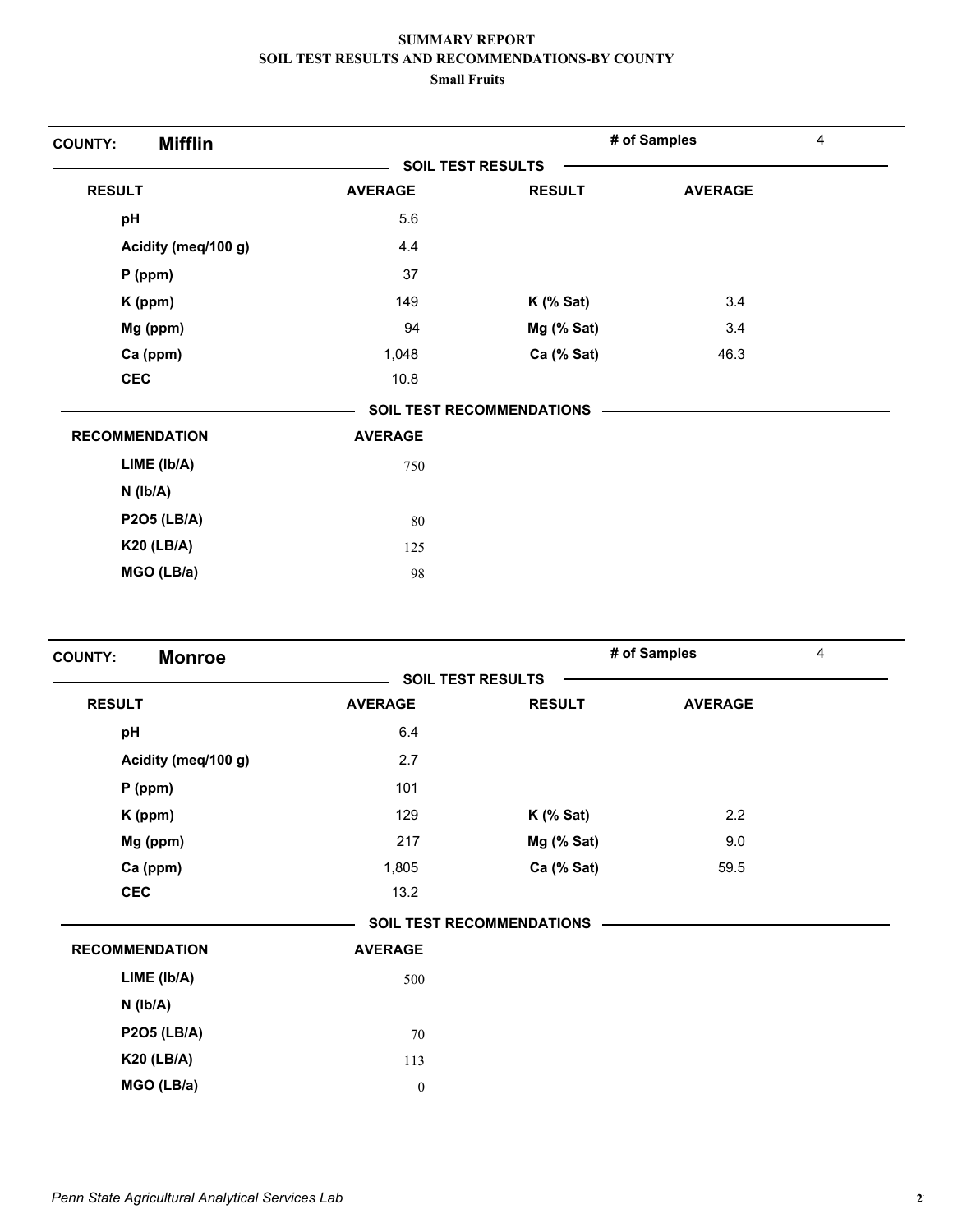| <b>Mifflin</b><br><b>COUNTY:</b> |                          |                                  | # of Samples   | 4 |
|----------------------------------|--------------------------|----------------------------------|----------------|---|
|                                  | <b>SOIL TEST RESULTS</b> |                                  |                |   |
| <b>RESULT</b>                    | <b>AVERAGE</b>           | <b>RESULT</b>                    | <b>AVERAGE</b> |   |
| pH                               | 5.6                      |                                  |                |   |
| Acidity (meq/100 g)              | 4.4                      |                                  |                |   |
| $P$ (ppm)                        | 37                       |                                  |                |   |
| K (ppm)                          | 149                      | $K$ (% Sat)                      | 3.4            |   |
| Mg (ppm)                         | 94                       | Mg (% Sat)                       | 3.4            |   |
| Ca (ppm)                         | 1,048                    | Ca (% Sat)                       | 46.3           |   |
| <b>CEC</b>                       | 10.8                     |                                  |                |   |
|                                  |                          | <b>SOIL TEST RECOMMENDATIONS</b> |                |   |
| <b>RECOMMENDATION</b>            | <b>AVERAGE</b>           |                                  |                |   |
| LIME (Ib/A)                      | 750                      |                                  |                |   |
| $N$ ( $Ib/A$ )                   |                          |                                  |                |   |
| <b>P2O5 (LB/A)</b>               | 80                       |                                  |                |   |
| <b>K20 (LB/A)</b>                | 125                      |                                  |                |   |
| MGO (LB/a)                       | 98                       |                                  |                |   |

| <b>Monroe</b><br><b>COUNTY:</b> |                          |                                  | # of Samples   | 4 |
|---------------------------------|--------------------------|----------------------------------|----------------|---|
|                                 | <b>SOIL TEST RESULTS</b> |                                  |                |   |
| <b>RESULT</b>                   | <b>AVERAGE</b>           | <b>RESULT</b>                    | <b>AVERAGE</b> |   |
| pH                              | 6.4                      |                                  |                |   |
| Acidity (meq/100 g)             | 2.7                      |                                  |                |   |
| $P$ (ppm)                       | 101                      |                                  |                |   |
| K (ppm)                         | 129                      | $K$ (% Sat)                      | 2.2            |   |
| Mg (ppm)                        | 217                      | $Mg$ (% Sat)                     | 9.0            |   |
| Ca (ppm)                        | 1,805                    | Ca (% Sat)                       | 59.5           |   |
| <b>CEC</b>                      | 13.2                     |                                  |                |   |
|                                 |                          | <b>SOIL TEST RECOMMENDATIONS</b> |                |   |
| <b>RECOMMENDATION</b>           | <b>AVERAGE</b>           |                                  |                |   |
| LIME (Ib/A)                     | 500                      |                                  |                |   |
| $N$ ( $lb/A$ )                  |                          |                                  |                |   |
| <b>P2O5 (LB/A)</b>              | $70\,$                   |                                  |                |   |
| <b>K20 (LB/A)</b>               | 113                      |                                  |                |   |
| MGO (LB/a)                      | $\boldsymbol{0}$         |                                  |                |   |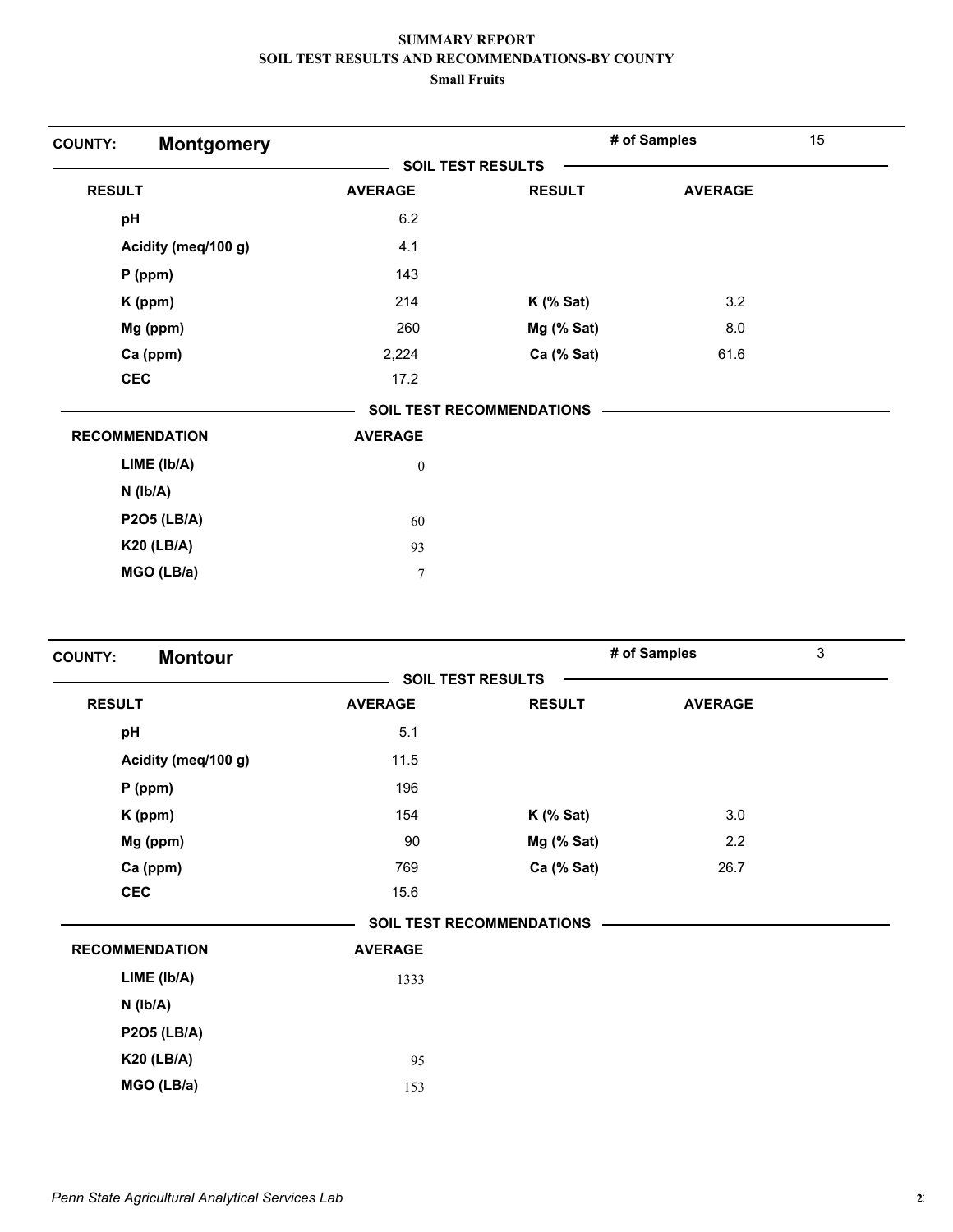| <b>Montgomery</b><br><b>COUNTY:</b> |                          |                                  | # of Samples   | 15 |
|-------------------------------------|--------------------------|----------------------------------|----------------|----|
|                                     | <b>SOIL TEST RESULTS</b> |                                  |                |    |
| <b>RESULT</b>                       | <b>AVERAGE</b>           | <b>RESULT</b>                    | <b>AVERAGE</b> |    |
| pH                                  | 6.2                      |                                  |                |    |
| Acidity (meq/100 g)                 | 4.1                      |                                  |                |    |
| $P$ (ppm)                           | 143                      |                                  |                |    |
| K (ppm)                             | 214                      | $K$ (% Sat)                      | 3.2            |    |
| Mg (ppm)                            | 260                      | Mg (% Sat)                       | 8.0            |    |
| Ca (ppm)                            | 2,224                    | Ca (% Sat)                       | 61.6           |    |
| <b>CEC</b>                          | 17.2                     |                                  |                |    |
|                                     |                          | <b>SOIL TEST RECOMMENDATIONS</b> |                |    |
| <b>RECOMMENDATION</b>               | <b>AVERAGE</b>           |                                  |                |    |
| LIME (Ib/A)                         | $\boldsymbol{0}$         |                                  |                |    |
| $N$ ( $lb/A$ )                      |                          |                                  |                |    |
| <b>P2O5 (LB/A)</b>                  | 60                       |                                  |                |    |
| <b>K20 (LB/A)</b>                   | 93                       |                                  |                |    |
| MGO (LB/a)                          | 7                        |                                  |                |    |

| <b>Montour</b><br><b>COUNTY:</b> |                          |                                  | # of Samples   | 3 |
|----------------------------------|--------------------------|----------------------------------|----------------|---|
|                                  | <b>SOIL TEST RESULTS</b> |                                  |                |   |
| <b>RESULT</b>                    | <b>AVERAGE</b>           | <b>RESULT</b>                    | <b>AVERAGE</b> |   |
| pH                               | 5.1                      |                                  |                |   |
| Acidity (meq/100 g)              | 11.5                     |                                  |                |   |
| $P$ (ppm)                        | 196                      |                                  |                |   |
| K (ppm)                          | 154                      | $K$ (% Sat)                      | 3.0            |   |
| Mg (ppm)                         | 90                       | $Mg$ (% Sat)                     | 2.2            |   |
| Ca (ppm)                         | 769                      | Ca (% Sat)                       | 26.7           |   |
| <b>CEC</b>                       | 15.6                     |                                  |                |   |
|                                  |                          | <b>SOIL TEST RECOMMENDATIONS</b> |                |   |
| <b>RECOMMENDATION</b>            | <b>AVERAGE</b>           |                                  |                |   |
| LIME (Ib/A)                      | 1333                     |                                  |                |   |
| $N$ ( $lb/A$ )                   |                          |                                  |                |   |
| <b>P2O5 (LB/A)</b>               |                          |                                  |                |   |
| <b>K20 (LB/A)</b>                | 95                       |                                  |                |   |
| MGO (LB/a)                       | 153                      |                                  |                |   |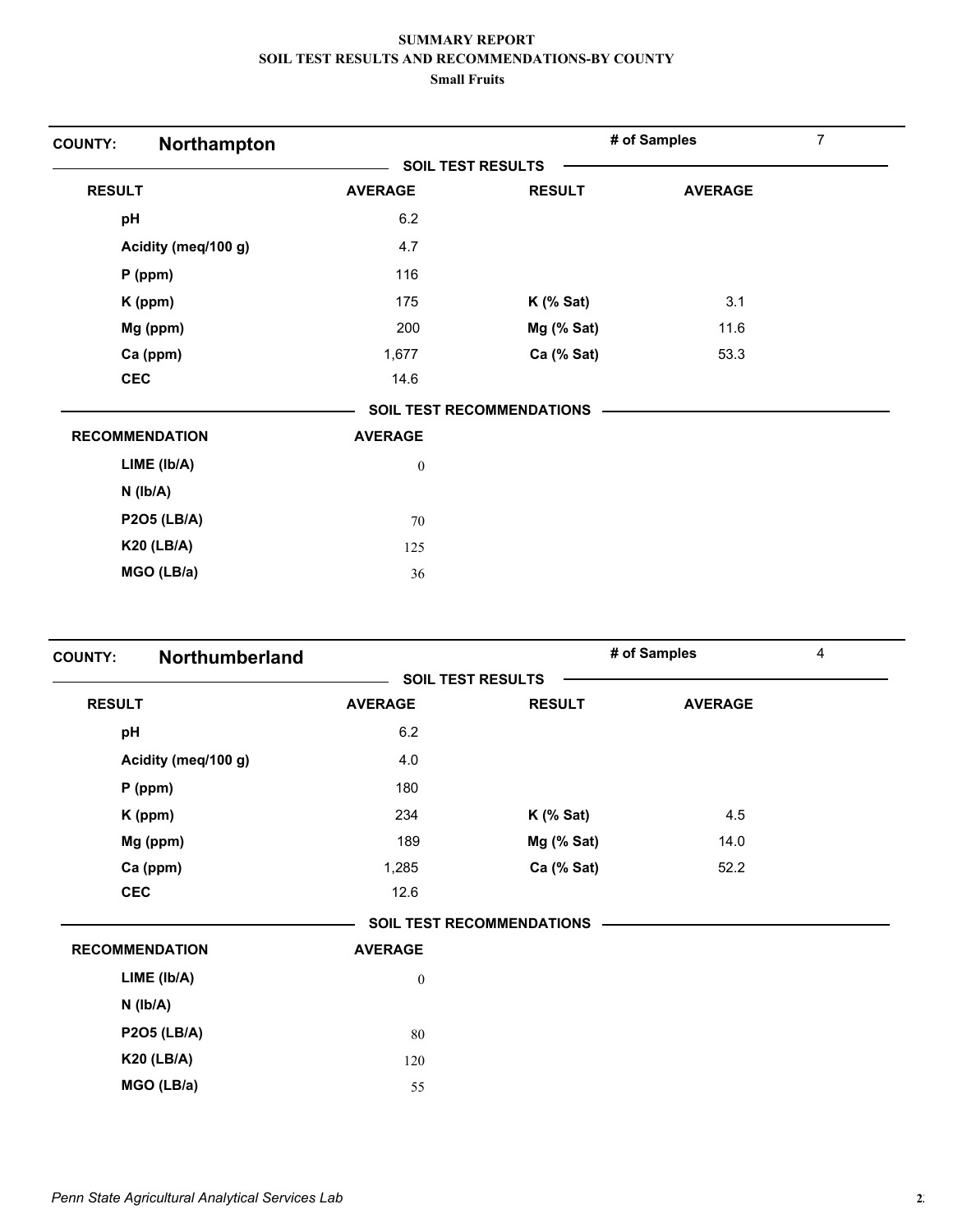| Northampton<br><b>COUNTY:</b> |                          |                                  | # of Samples   | 7 |
|-------------------------------|--------------------------|----------------------------------|----------------|---|
|                               | <b>SOIL TEST RESULTS</b> |                                  |                |   |
| <b>RESULT</b>                 | <b>AVERAGE</b>           | <b>RESULT</b>                    | <b>AVERAGE</b> |   |
| pH                            | 6.2                      |                                  |                |   |
| Acidity (meq/100 g)           | 4.7                      |                                  |                |   |
| $P$ (ppm)                     | 116                      |                                  |                |   |
| K (ppm)                       | 175                      | $K$ (% Sat)                      | 3.1            |   |
| Mg (ppm)                      | 200                      | $Mg$ (% Sat)                     | 11.6           |   |
| Ca (ppm)                      | 1,677                    | Ca (% Sat)                       | 53.3           |   |
| <b>CEC</b>                    | 14.6                     |                                  |                |   |
|                               |                          | <b>SOIL TEST RECOMMENDATIONS</b> |                |   |
| <b>RECOMMENDATION</b>         | <b>AVERAGE</b>           |                                  |                |   |
| LIME (Ib/A)                   | $\mathbf{0}$             |                                  |                |   |
| $N$ ( $Ib/A$ )                |                          |                                  |                |   |
| <b>P2O5 (LB/A)</b>            | 70                       |                                  |                |   |
| <b>K20 (LB/A)</b>             | 125                      |                                  |                |   |
| MGO (LB/a)                    | 36                       |                                  |                |   |

| Northumberland<br><b>COUNTY:</b> |                          |                                  | # of Samples   | 4 |
|----------------------------------|--------------------------|----------------------------------|----------------|---|
|                                  | <b>SOIL TEST RESULTS</b> |                                  |                |   |
| <b>RESULT</b>                    | <b>AVERAGE</b>           | <b>RESULT</b>                    | <b>AVERAGE</b> |   |
| pH                               | 6.2                      |                                  |                |   |
| Acidity (meq/100 g)              | 4.0                      |                                  |                |   |
| $P$ (ppm)                        | 180                      |                                  |                |   |
| K (ppm)                          | 234                      | $K$ (% Sat)                      | 4.5            |   |
| Mg (ppm)                         | 189                      | $Mg$ (% Sat)                     | 14.0           |   |
| Ca (ppm)                         | 1,285                    | Ca (% Sat)                       | 52.2           |   |
| <b>CEC</b>                       | 12.6                     |                                  |                |   |
|                                  |                          | <b>SOIL TEST RECOMMENDATIONS</b> |                |   |
| <b>RECOMMENDATION</b>            | <b>AVERAGE</b>           |                                  |                |   |
| LIME (Ib/A)                      | $\boldsymbol{0}$         |                                  |                |   |
| $N$ ( $lb/A$ )                   |                          |                                  |                |   |
| <b>P2O5 (LB/A)</b>               | 80                       |                                  |                |   |
| <b>K20 (LB/A)</b>                | 120                      |                                  |                |   |
| MGO (LB/a)                       | 55                       |                                  |                |   |
|                                  |                          |                                  |                |   |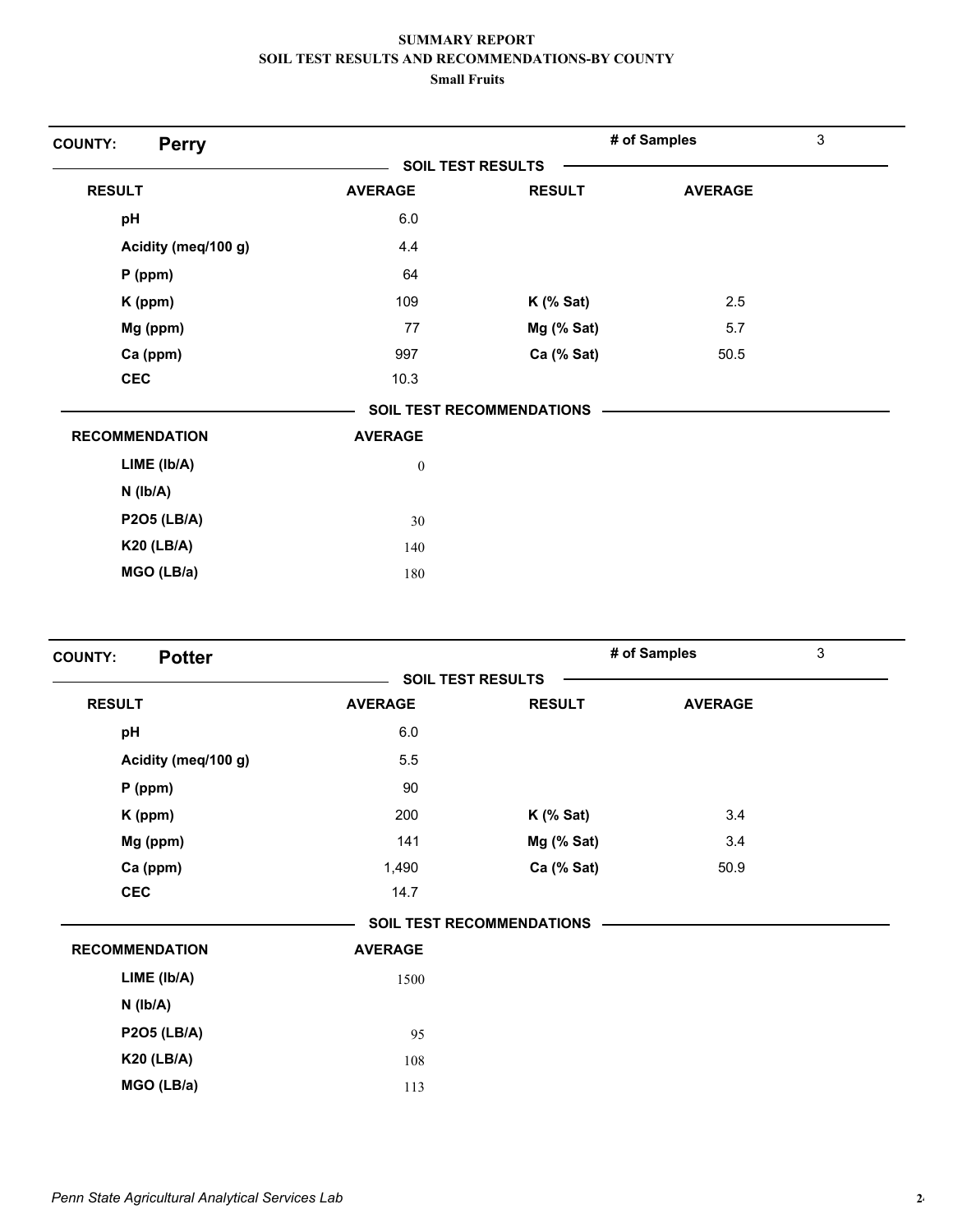| <b>Perry</b><br><b>COUNTY:</b> |                          |                                  | # of Samples   | 3 |
|--------------------------------|--------------------------|----------------------------------|----------------|---|
|                                | <b>SOIL TEST RESULTS</b> |                                  |                |   |
| <b>RESULT</b>                  | <b>AVERAGE</b>           | <b>RESULT</b>                    | <b>AVERAGE</b> |   |
| pH                             | 6.0                      |                                  |                |   |
| Acidity (meq/100 g)            | 4.4                      |                                  |                |   |
| $P$ (ppm)                      | 64                       |                                  |                |   |
| K (ppm)                        | 109                      | $K$ (% Sat)                      | 2.5            |   |
| Mg (ppm)                       | 77                       | Mg (% Sat)                       | 5.7            |   |
| Ca (ppm)                       | 997                      | Ca (% Sat)                       | 50.5           |   |
| <b>CEC</b>                     | 10.3                     |                                  |                |   |
|                                |                          | <b>SOIL TEST RECOMMENDATIONS</b> |                |   |
| <b>RECOMMENDATION</b>          | <b>AVERAGE</b>           |                                  |                |   |
| LIME (Ib/A)                    | $\boldsymbol{0}$         |                                  |                |   |
| $N$ ( $lb/A$ )                 |                          |                                  |                |   |
| <b>P2O5 (LB/A)</b>             | 30                       |                                  |                |   |
| <b>K20 (LB/A)</b>              | 140                      |                                  |                |   |
| MGO (LB/a)                     | 180                      |                                  |                |   |

| <b>Potter</b><br><b>COUNTY:</b> |                          |                                  | # of Samples   | 3 |
|---------------------------------|--------------------------|----------------------------------|----------------|---|
|                                 | <b>SOIL TEST RESULTS</b> |                                  |                |   |
| <b>RESULT</b>                   | <b>AVERAGE</b>           | <b>RESULT</b>                    | <b>AVERAGE</b> |   |
| pH                              | 6.0                      |                                  |                |   |
| Acidity (meq/100 g)             | 5.5                      |                                  |                |   |
| $P$ (ppm)                       | 90                       |                                  |                |   |
| K (ppm)                         | 200                      | $K$ (% Sat)                      | 3.4            |   |
| Mg (ppm)                        | 141                      | $Mg$ (% Sat)                     | 3.4            |   |
| Ca (ppm)                        | 1,490                    | Ca (% Sat)                       | 50.9           |   |
| <b>CEC</b>                      | 14.7                     |                                  |                |   |
|                                 |                          | <b>SOIL TEST RECOMMENDATIONS</b> |                |   |
| <b>RECOMMENDATION</b>           | <b>AVERAGE</b>           |                                  |                |   |
| LIME (Ib/A)                     | 1500                     |                                  |                |   |
| $N$ ( $lb/A$ )                  |                          |                                  |                |   |
| <b>P2O5 (LB/A)</b>              | 95                       |                                  |                |   |
| <b>K20 (LB/A)</b>               | 108                      |                                  |                |   |
| MGO (LB/a)                      | 113                      |                                  |                |   |
|                                 |                          |                                  |                |   |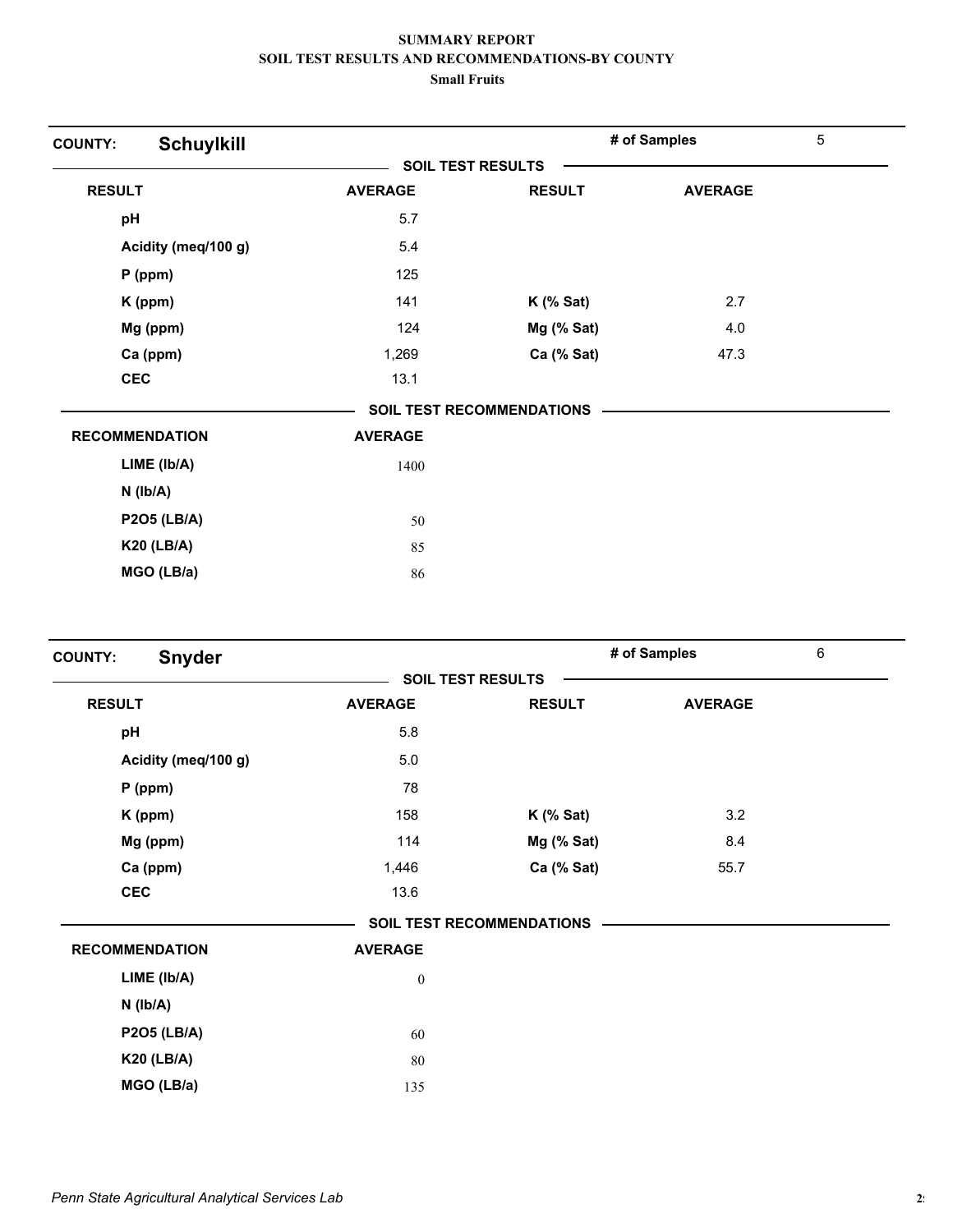| <b>Schuylkill</b><br><b>COUNTY:</b> |                          |                                  | # of Samples   | 5 |
|-------------------------------------|--------------------------|----------------------------------|----------------|---|
|                                     | <b>SOIL TEST RESULTS</b> |                                  |                |   |
| <b>RESULT</b>                       | <b>AVERAGE</b>           | <b>RESULT</b>                    | <b>AVERAGE</b> |   |
| pH                                  | 5.7                      |                                  |                |   |
| Acidity (meq/100 g)                 | 5.4                      |                                  |                |   |
| $P$ (ppm)                           | 125                      |                                  |                |   |
| K (ppm)                             | 141                      | $K$ (% Sat)                      | 2.7            |   |
| Mg (ppm)                            | 124                      | Mg (% Sat)                       | 4.0            |   |
| Ca (ppm)                            | 1,269                    | Ca (% Sat)                       | 47.3           |   |
| <b>CEC</b>                          | 13.1                     |                                  |                |   |
|                                     |                          | <b>SOIL TEST RECOMMENDATIONS</b> |                |   |
| <b>RECOMMENDATION</b>               | <b>AVERAGE</b>           |                                  |                |   |
| LIME (Ib/A)                         | 1400                     |                                  |                |   |
| $N$ ( $Ib/A$ )                      |                          |                                  |                |   |
| <b>P2O5 (LB/A)</b>                  | 50                       |                                  |                |   |
| <b>K20 (LB/A)</b>                   | 85                       |                                  |                |   |
| MGO (LB/a)                          | 86                       |                                  |                |   |

| <b>Snyder</b><br><b>COUNTY:</b> |                          |                                  | # of Samples   | 6 |
|---------------------------------|--------------------------|----------------------------------|----------------|---|
|                                 | <b>SOIL TEST RESULTS</b> |                                  |                |   |
| <b>RESULT</b>                   | <b>AVERAGE</b>           | <b>RESULT</b>                    | <b>AVERAGE</b> |   |
| pH                              | 5.8                      |                                  |                |   |
| Acidity (meq/100 g)             | 5.0                      |                                  |                |   |
| $P$ (ppm)                       | 78                       |                                  |                |   |
| K (ppm)                         | 158                      | $K$ (% Sat)                      | 3.2            |   |
| Mg (ppm)                        | 114                      | Mg (% Sat)                       | 8.4            |   |
| Ca (ppm)                        | 1,446                    | Ca (% Sat)                       | 55.7           |   |
| <b>CEC</b>                      | 13.6                     |                                  |                |   |
|                                 |                          | <b>SOIL TEST RECOMMENDATIONS</b> |                |   |
| <b>RECOMMENDATION</b>           | <b>AVERAGE</b>           |                                  |                |   |
| $LIME$ ( $lb/A$ )               | $\boldsymbol{0}$         |                                  |                |   |
| $N$ ( $lb/A$ )                  |                          |                                  |                |   |
| <b>P2O5 (LB/A)</b>              | 60                       |                                  |                |   |
| <b>K20 (LB/A)</b>               | 80                       |                                  |                |   |
| MGO (LB/a)                      | 135                      |                                  |                |   |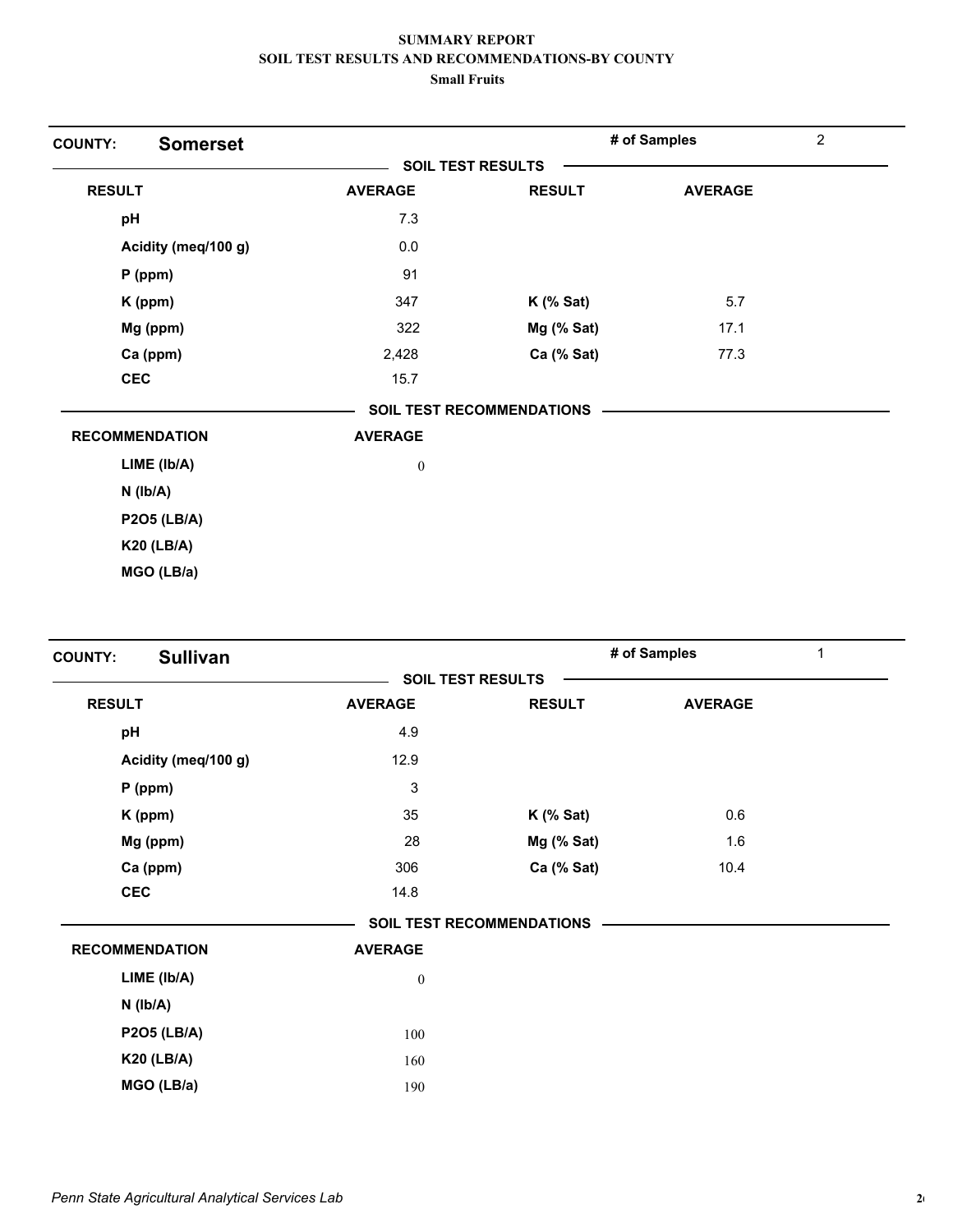| <b>Somerset</b><br><b>COUNTY:</b> |                  |                                  | # of Samples   | $\overline{2}$ |
|-----------------------------------|------------------|----------------------------------|----------------|----------------|
|                                   |                  | <b>SOIL TEST RESULTS</b>         |                |                |
| <b>RESULT</b>                     | <b>AVERAGE</b>   | <b>RESULT</b>                    | <b>AVERAGE</b> |                |
| pH                                | 7.3              |                                  |                |                |
| Acidity (meq/100 g)               | $0.0\,$          |                                  |                |                |
| $P$ (ppm)                         | 91               |                                  |                |                |
| K (ppm)                           | 347              | $K$ (% Sat)                      | 5.7            |                |
| Mg (ppm)                          | 322              | Mg (% Sat)                       | 17.1           |                |
| Ca (ppm)                          | 2,428            | Ca (% Sat)                       | 77.3           |                |
| <b>CEC</b>                        | 15.7             |                                  |                |                |
|                                   |                  | <b>SOIL TEST RECOMMENDATIONS</b> |                |                |
| <b>RECOMMENDATION</b>             | <b>AVERAGE</b>   |                                  |                |                |
| $LIME$ ( $lb/A$ )                 | $\boldsymbol{0}$ |                                  |                |                |
| $N$ ( $Ib/A$ )                    |                  |                                  |                |                |
| <b>P2O5 (LB/A)</b>                |                  |                                  |                |                |
| <b>K20 (LB/A)</b>                 |                  |                                  |                |                |
| MGO (LB/a)                        |                  |                                  |                |                |

| <b>Sullivan</b><br><b>COUNTY:</b> |                          |                                  | # of Samples<br>1 |  |
|-----------------------------------|--------------------------|----------------------------------|-------------------|--|
|                                   | <b>SOIL TEST RESULTS</b> |                                  |                   |  |
| <b>RESULT</b>                     | <b>AVERAGE</b>           | <b>RESULT</b>                    | <b>AVERAGE</b>    |  |
| pH                                | 4.9                      |                                  |                   |  |
| Acidity (meq/100 g)               | 12.9                     |                                  |                   |  |
| $P$ (ppm)                         | 3                        |                                  |                   |  |
| K (ppm)                           | 35                       | $K$ (% Sat)                      | 0.6               |  |
| Mg (ppm)                          | 28                       | $Mg$ (% Sat)                     | 1.6               |  |
| Ca (ppm)                          | 306                      | Ca (% Sat)                       | 10.4              |  |
| <b>CEC</b>                        | 14.8                     |                                  |                   |  |
|                                   |                          | <b>SOIL TEST RECOMMENDATIONS</b> |                   |  |
| <b>RECOMMENDATION</b>             | <b>AVERAGE</b>           |                                  |                   |  |
| LIME (lb/A)                       | $\boldsymbol{0}$         |                                  |                   |  |
| $N$ ( $lb/A$ )                    |                          |                                  |                   |  |
| <b>P2O5 (LB/A)</b>                | 100                      |                                  |                   |  |
| <b>K20 (LB/A)</b>                 | 160                      |                                  |                   |  |
| MGO (LB/a)                        | 190                      |                                  |                   |  |
|                                   |                          |                                  |                   |  |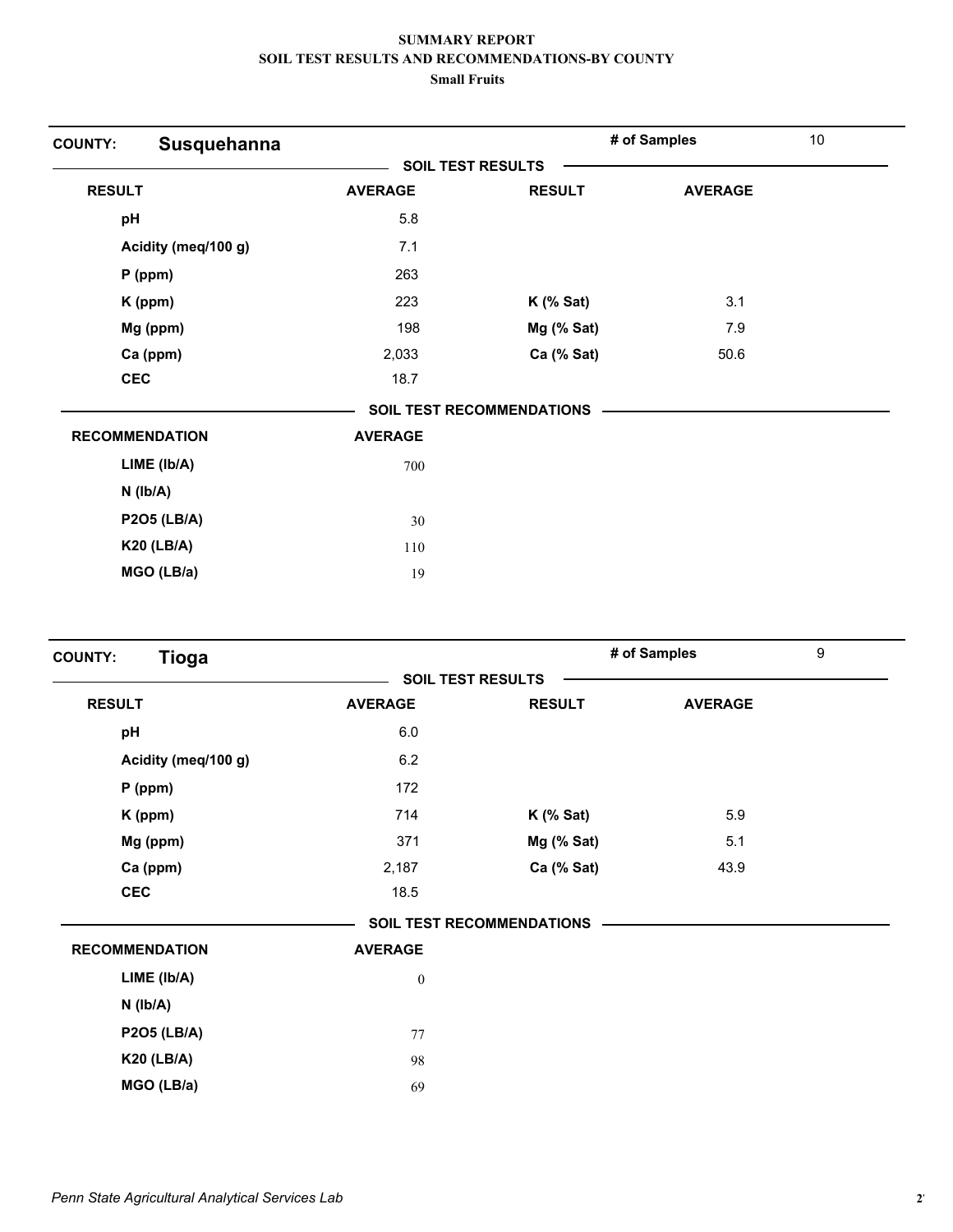| Susquehanna<br><b>COUNTY:</b> |                |                                  | # of Samples   | 10 |
|-------------------------------|----------------|----------------------------------|----------------|----|
|                               |                | <b>SOIL TEST RESULTS</b>         |                |    |
| <b>RESULT</b>                 | <b>AVERAGE</b> | <b>RESULT</b>                    | <b>AVERAGE</b> |    |
| pH                            | 5.8            |                                  |                |    |
| Acidity (meq/100 g)           | 7.1            |                                  |                |    |
| $P$ (ppm)                     | 263            |                                  |                |    |
| K (ppm)                       | 223            | $K$ (% Sat)                      | 3.1            |    |
| Mg (ppm)                      | 198            | Mg (% Sat)                       | 7.9            |    |
| Ca (ppm)                      | 2,033          | Ca (% Sat)                       | 50.6           |    |
| <b>CEC</b>                    | 18.7           |                                  |                |    |
|                               |                | <b>SOIL TEST RECOMMENDATIONS</b> |                |    |
| <b>RECOMMENDATION</b>         | <b>AVERAGE</b> |                                  |                |    |
| LIME (Ib/A)                   | 700            |                                  |                |    |
| $N$ ( $lb/A$ )                |                |                                  |                |    |
| <b>P2O5 (LB/A)</b>            | 30             |                                  |                |    |
| <b>K20 (LB/A)</b>             | 110            |                                  |                |    |
| MGO (LB/a)                    | 19             |                                  |                |    |

| <b>Tioga</b><br><b>COUNTY:</b> |                          |                                  | # of Samples   | 9 |
|--------------------------------|--------------------------|----------------------------------|----------------|---|
|                                | <b>SOIL TEST RESULTS</b> |                                  |                |   |
| <b>RESULT</b>                  | <b>AVERAGE</b>           | <b>RESULT</b>                    | <b>AVERAGE</b> |   |
| pH                             | 6.0                      |                                  |                |   |
| Acidity (meq/100 g)            | 6.2                      |                                  |                |   |
| P (ppm)                        | 172                      |                                  |                |   |
| K (ppm)                        | 714                      | $K$ (% Sat)                      | 5.9            |   |
| Mg (ppm)                       | 371                      | $Mg$ (% Sat)                     | 5.1            |   |
| Ca (ppm)                       | 2,187                    | Ca (% Sat)                       | 43.9           |   |
| <b>CEC</b>                     | 18.5                     |                                  |                |   |
|                                |                          | <b>SOIL TEST RECOMMENDATIONS</b> |                |   |
| <b>RECOMMENDATION</b>          | <b>AVERAGE</b>           |                                  |                |   |
| LIME (Ib/A)                    | $\boldsymbol{0}$         |                                  |                |   |
| $N$ ( $lb/A$ )                 |                          |                                  |                |   |
| <b>P2O5 (LB/A)</b>             | 77                       |                                  |                |   |
| <b>K20 (LB/A)</b>              | 98                       |                                  |                |   |
| MGO (LB/a)                     | 69                       |                                  |                |   |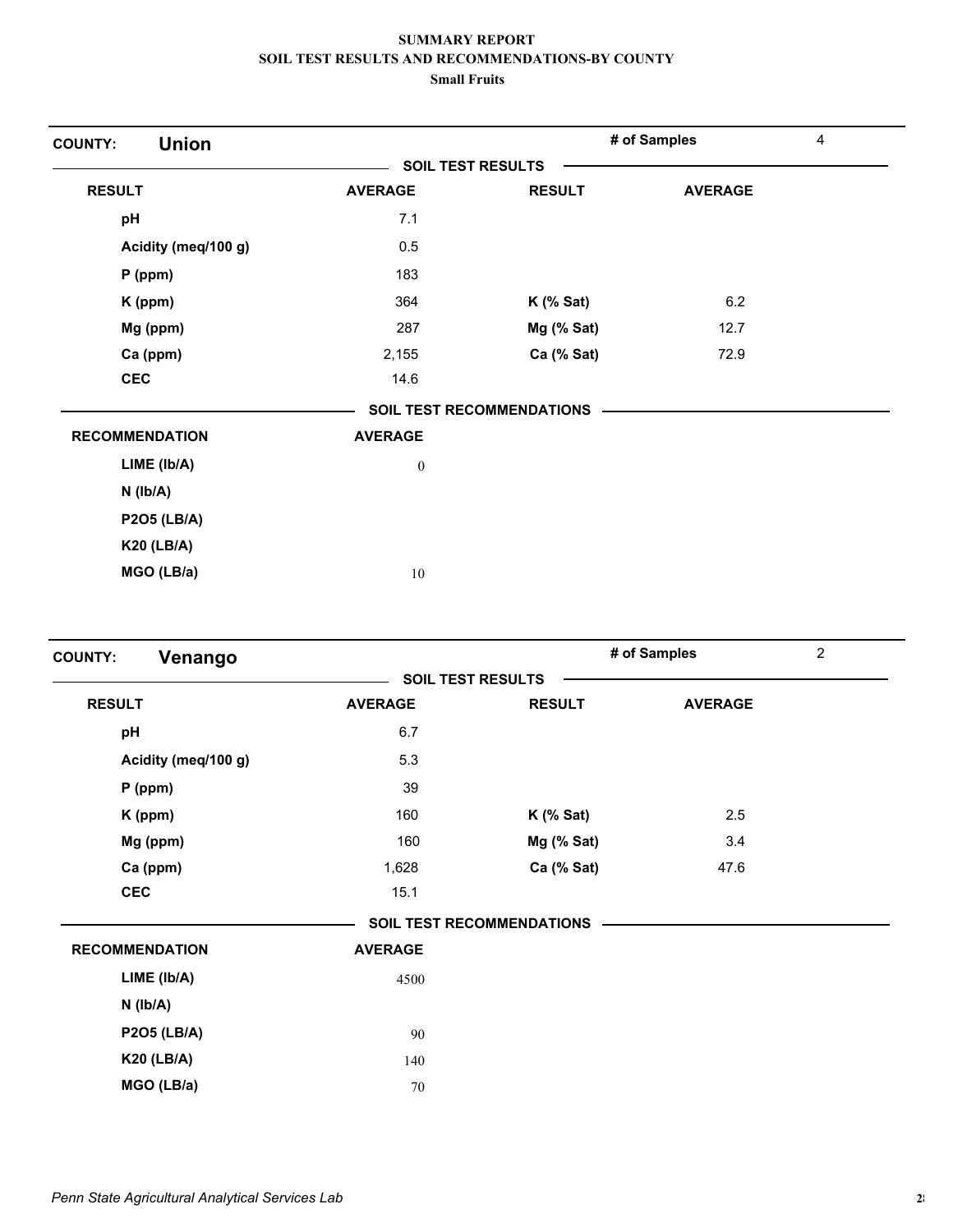| <b>Union</b><br><b>COUNTY:</b> |                |                                  | # of Samples   | 4 |
|--------------------------------|----------------|----------------------------------|----------------|---|
|                                |                | <b>SOIL TEST RESULTS</b>         |                |   |
| <b>RESULT</b>                  | <b>AVERAGE</b> | <b>RESULT</b>                    | <b>AVERAGE</b> |   |
| pH                             | 7.1            |                                  |                |   |
| Acidity (meq/100 g)            | 0.5            |                                  |                |   |
| $P$ (ppm)                      | 183            |                                  |                |   |
| K (ppm)                        | 364            | $K$ (% Sat)                      | 6.2            |   |
| Mg (ppm)                       | 287            | Mg (% Sat)                       | 12.7           |   |
| Ca (ppm)                       | 2,155          | Ca (% Sat)                       | 72.9           |   |
| <b>CEC</b>                     | 14.6           |                                  |                |   |
|                                |                | <b>SOIL TEST RECOMMENDATIONS</b> |                |   |
| <b>RECOMMENDATION</b>          | <b>AVERAGE</b> |                                  |                |   |
| $LIME$ ( $lb/A$ )              | $\theta$       |                                  |                |   |
| $N$ ( $lb/A$ )                 |                |                                  |                |   |
| <b>P2O5 (LB/A)</b>             |                |                                  |                |   |
| <b>K20 (LB/A)</b>              |                |                                  |                |   |
| MGO (LB/a)                     | 10             |                                  |                |   |

| Venango<br><b>COUNTY:</b> |                          |                                  | # of Samples   | $\overline{c}$ |
|---------------------------|--------------------------|----------------------------------|----------------|----------------|
|                           | <b>SOIL TEST RESULTS</b> |                                  |                |                |
| <b>RESULT</b>             | <b>AVERAGE</b>           | <b>RESULT</b>                    | <b>AVERAGE</b> |                |
| pH                        | 6.7                      |                                  |                |                |
| Acidity (meq/100 g)       | 5.3                      |                                  |                |                |
| $P$ (ppm)                 | 39                       |                                  |                |                |
| K (ppm)                   | 160                      | $K$ (% Sat)                      | 2.5            |                |
| Mg (ppm)                  | 160                      | $Mg$ (% Sat)                     | 3.4            |                |
| Ca (ppm)                  | 1,628                    | Ca (% Sat)                       | 47.6           |                |
| <b>CEC</b>                | 15.1                     |                                  |                |                |
|                           |                          | <b>SOIL TEST RECOMMENDATIONS</b> |                |                |
| <b>RECOMMENDATION</b>     | <b>AVERAGE</b>           |                                  |                |                |
| LIME (Ib/A)               | 4500                     |                                  |                |                |
| N (Ib/A)                  |                          |                                  |                |                |
| <b>P2O5 (LB/A)</b>        | 90                       |                                  |                |                |
| <b>K20 (LB/A)</b>         | 140                      |                                  |                |                |
| MGO (LB/a)                | 70                       |                                  |                |                |
|                           |                          |                                  |                |                |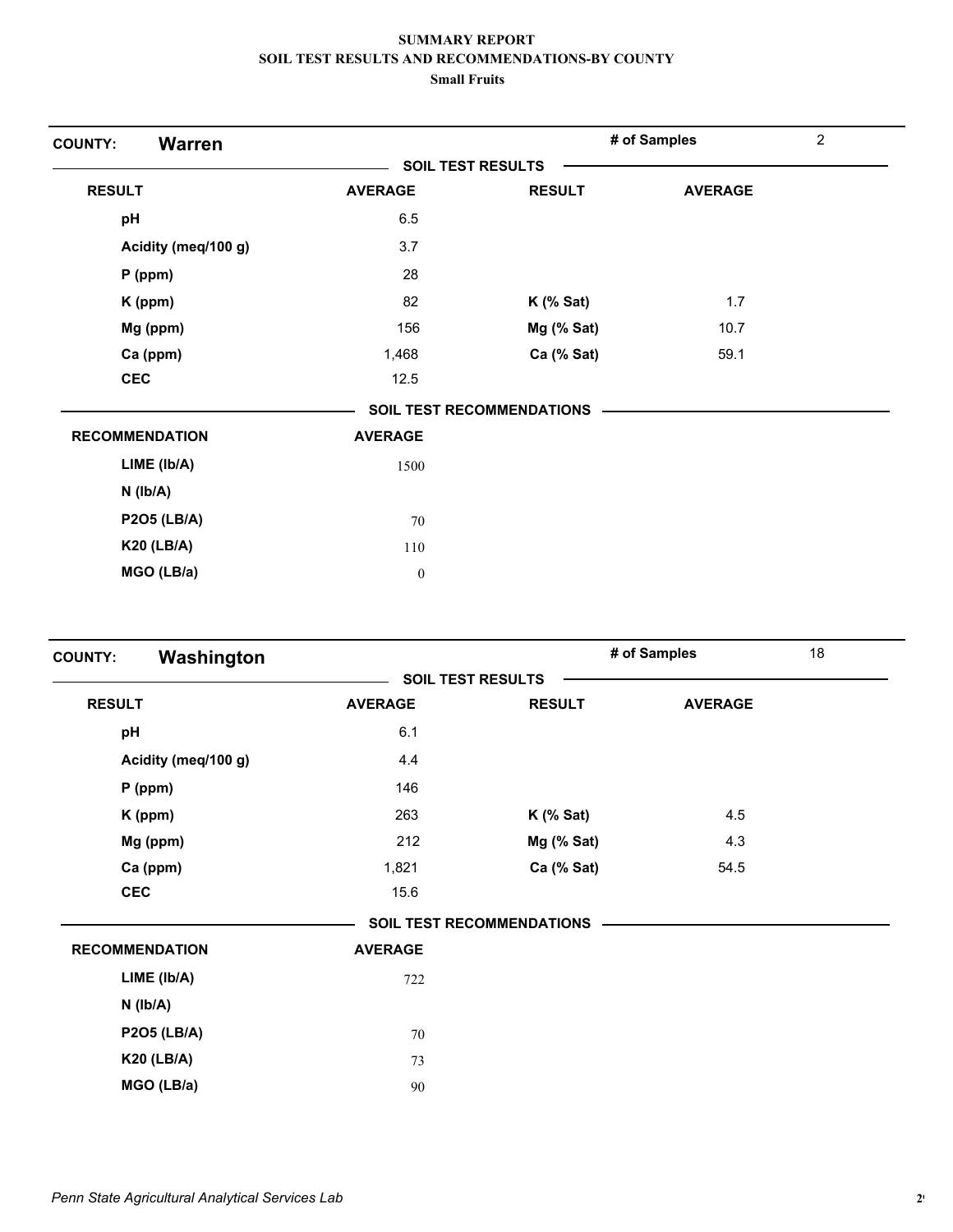| <b>Warren</b><br><b>COUNTY:</b> |                          |                                  | # of Samples   | $\overline{2}$ |
|---------------------------------|--------------------------|----------------------------------|----------------|----------------|
|                                 | <b>SOIL TEST RESULTS</b> |                                  |                |                |
| <b>RESULT</b>                   | <b>AVERAGE</b>           | <b>RESULT</b>                    | <b>AVERAGE</b> |                |
| pH                              | 6.5                      |                                  |                |                |
| Acidity (meq/100 g)             | 3.7                      |                                  |                |                |
| $P$ (ppm)                       | 28                       |                                  |                |                |
| K (ppm)                         | 82                       | $K$ (% Sat)                      | 1.7            |                |
| Mg (ppm)                        | 156                      | Mg (% Sat)                       | 10.7           |                |
| Ca (ppm)                        | 1,468                    | Ca (% Sat)                       | 59.1           |                |
| <b>CEC</b>                      | 12.5                     |                                  |                |                |
|                                 |                          | <b>SOIL TEST RECOMMENDATIONS</b> |                |                |
| <b>RECOMMENDATION</b>           | <b>AVERAGE</b>           |                                  |                |                |
| LIME (Ib/A)                     | 1500                     |                                  |                |                |
| $N$ ( $Ib/A$ )                  |                          |                                  |                |                |
| <b>P2O5 (LB/A)</b>              | 70                       |                                  |                |                |
| <b>K20 (LB/A)</b>               | 110                      |                                  |                |                |
| MGO (LB/a)                      | $\boldsymbol{0}$         |                                  |                |                |

| Washington<br><b>COUNTY:</b> |                          |                                  | # of Samples   | 18 |
|------------------------------|--------------------------|----------------------------------|----------------|----|
|                              | <b>SOIL TEST RESULTS</b> |                                  |                |    |
| <b>RESULT</b>                | <b>AVERAGE</b>           | <b>RESULT</b>                    | <b>AVERAGE</b> |    |
| pH                           | 6.1                      |                                  |                |    |
| Acidity (meq/100 g)          | 4.4                      |                                  |                |    |
| $P$ (ppm)                    | 146                      |                                  |                |    |
| K (ppm)                      | 263                      | $K$ (% Sat)                      | 4.5            |    |
| Mg (ppm)                     | 212                      | Mg (% Sat)                       | 4.3            |    |
| Ca (ppm)                     | 1,821                    | Ca (% Sat)                       | 54.5           |    |
| <b>CEC</b>                   | 15.6                     |                                  |                |    |
|                              |                          | <b>SOIL TEST RECOMMENDATIONS</b> |                |    |
| <b>RECOMMENDATION</b>        | <b>AVERAGE</b>           |                                  |                |    |
| LIME (Ib/A)                  | 722                      |                                  |                |    |
| $N$ ( $Ib/A$ )               |                          |                                  |                |    |
| <b>P2O5 (LB/A)</b>           | 70                       |                                  |                |    |
| <b>K20 (LB/A)</b>            | 73                       |                                  |                |    |
| MGO (LB/a)                   | 90                       |                                  |                |    |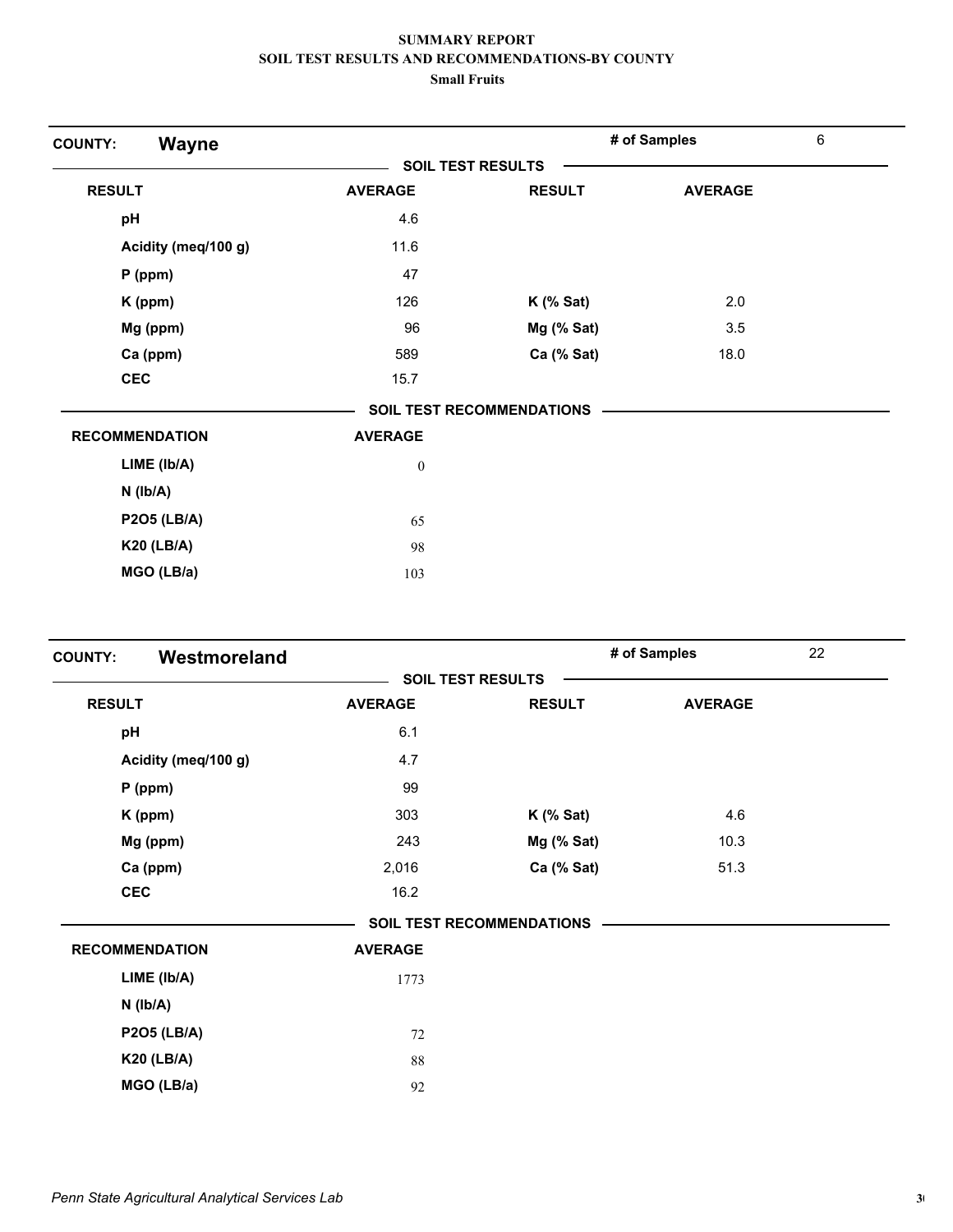| <b>Wayne</b><br><b>COUNTY:</b> |                          |                                  | # of Samples   | 6 |
|--------------------------------|--------------------------|----------------------------------|----------------|---|
|                                | <b>SOIL TEST RESULTS</b> |                                  |                |   |
| <b>RESULT</b>                  | <b>AVERAGE</b>           | <b>RESULT</b>                    | <b>AVERAGE</b> |   |
| pH                             | 4.6                      |                                  |                |   |
| Acidity (meq/100 g)            | 11.6                     |                                  |                |   |
| $P$ (ppm)                      | 47                       |                                  |                |   |
| K (ppm)                        | 126                      | $K$ (% Sat)                      | 2.0            |   |
| Mg (ppm)                       | 96                       | Mg (% Sat)                       | 3.5            |   |
| Ca (ppm)                       | 589                      | Ca (% Sat)                       | 18.0           |   |
| <b>CEC</b>                     | 15.7                     |                                  |                |   |
|                                |                          | <b>SOIL TEST RECOMMENDATIONS</b> |                |   |
| <b>RECOMMENDATION</b>          | <b>AVERAGE</b>           |                                  |                |   |
| LIME (Ib/A)                    | $\bf{0}$                 |                                  |                |   |
| $N$ ( $Ib/A$ )                 |                          |                                  |                |   |
| <b>P2O5 (LB/A)</b>             | 65                       |                                  |                |   |
| <b>K20 (LB/A)</b>              | 98                       |                                  |                |   |
| MGO (LB/a)                     | 103                      |                                  |                |   |

| Westmoreland<br><b>COUNTY:</b> |                          |                                  | # of Samples   | 22 |
|--------------------------------|--------------------------|----------------------------------|----------------|----|
|                                | <b>SOIL TEST RESULTS</b> |                                  |                |    |
| <b>RESULT</b>                  | <b>AVERAGE</b>           | <b>RESULT</b>                    | <b>AVERAGE</b> |    |
| pH                             | 6.1                      |                                  |                |    |
| Acidity (meq/100 g)            | 4.7                      |                                  |                |    |
| $P$ (ppm)                      | 99                       |                                  |                |    |
| K (ppm)                        | 303                      | $K$ (% Sat)                      | 4.6            |    |
| Mg (ppm)                       | 243                      | $Mg$ (% Sat)                     | 10.3           |    |
| Ca (ppm)                       | 2,016                    | Ca (% Sat)                       | 51.3           |    |
| <b>CEC</b>                     | 16.2                     |                                  |                |    |
|                                |                          | <b>SOIL TEST RECOMMENDATIONS</b> |                |    |
| <b>RECOMMENDATION</b>          | <b>AVERAGE</b>           |                                  |                |    |
| LIME (Ib/A)                    | 1773                     |                                  |                |    |
| $N$ ( $lb/A$ )                 |                          |                                  |                |    |
| <b>P2O5 (LB/A)</b>             | 72                       |                                  |                |    |
| <b>K20 (LB/A)</b>              | 88                       |                                  |                |    |
| MGO (LB/a)                     | 92                       |                                  |                |    |